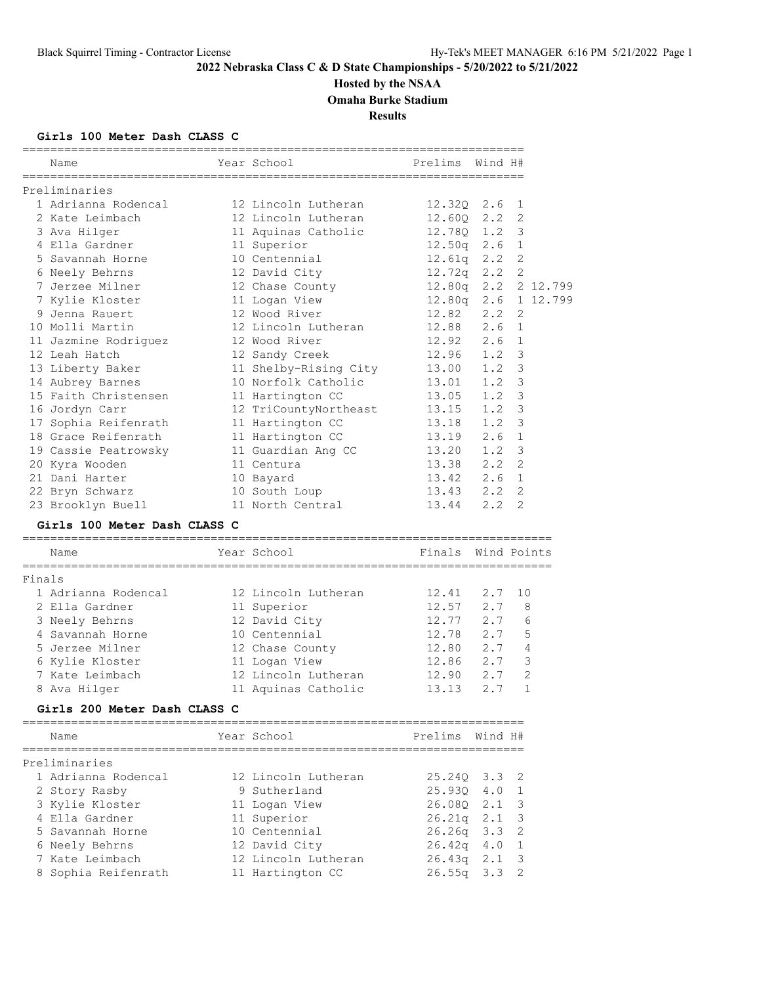# **Hosted by the NSAA**

**Omaha Burke Stadium**

**Results**

## **Girls 100 Meter Dash CLASS C**

|        | Name                               | Year School           | Prelims Wind H#    |             |                     |          |
|--------|------------------------------------|-----------------------|--------------------|-------------|---------------------|----------|
|        | Preliminaries                      |                       |                    |             |                     |          |
|        | 1 Adrianna Rodencal                | 12 Lincoln Lutheran   | 12.320 2.6         |             | 1                   |          |
|        | 2 Kate Leimbach                    | 12 Lincoln Lutheran   | 12.600             | 2.2         | 2                   |          |
|        | 3 Ava Hilger                       | 11 Aquinas Catholic   | 12.780 1.2         |             | 3                   |          |
|        | 4 Ella Gardner                     | 11 Superior           | $12.50q$ 2.6       |             | $\mathbf 1$         |          |
|        | 5 Savannah Horne                   | 10 Centennial         | $12.61q$ $2.2$     |             | $\overline{2}$      |          |
|        | 6 Neely Behrns                     | 12 David City         | $12.72q$ $2.2$     |             | $\overline{2}$      |          |
|        | 7 Jerzee Milner                    | 12 Chase County       | $12.80q$ $2.2$     |             |                     | 2 12.799 |
|        | 7 Kylie Kloster                    | 11 Logan View         | $12.80q$ $2.6$     |             |                     | 1 12.799 |
|        | 9 Jenna Rauert                     | 12 Wood River         | 12.82              | 2.2         | 2                   |          |
|        | 10 Molli Martin                    | 12 Lincoln Lutheran   | 12.88              | 2.6         | $\mathbf{1}$        |          |
|        | 11 Jazmine Rodriguez               | 12 Wood River         | $12.92 \t 2.6$     |             | 1                   |          |
|        | 12 Leah Hatch                      | 12 Sandy Creek        | $12.96$ 1.2        |             | 3                   |          |
|        | 13 Liberty Baker                   | 11 Shelby-Rising City | 13.00 1.2          |             | 3                   |          |
|        | 14 Aubrey Barnes                   | 10 Norfolk Catholic   | 13.01              | 1.2         | 3                   |          |
|        | 15 Faith Christensen               | 11 Hartington CC      | 13.05              | 1.2         | 3                   |          |
|        | 16 Jordyn Carr                     | 12 TriCountyNortheast | 13.15              | 1.2         | 3                   |          |
|        | 17 Sophia Reifenrath               | 11 Hartington CC      | 13.18              | 1.2         | 3                   |          |
|        | 18 Grace Reifenrath                | 11 Hartington CC      | 13.19              | 2.6         | $\mathbf 1$         |          |
|        | 19 Cassie Peatrowsky               | 11 Guardian Ang CC    | 13.20              | 1.2         | 3                   |          |
|        | 20 Kyra Wooden                     | 11 Centura            | 13.38 2.2          |             | $\mathfrak{D}$      |          |
|        | 21 Dani Harter                     | 10 Bayard             | 13.42 2.6          |             | $\mathbf{1}$        |          |
|        | 22 Bryn Schwarz                    | 10 South Loup         | 13.43              | 2.2         | 2                   |          |
|        | 23 Brooklyn Buell                  | 11 North Central      | 13.44              | 2.2         | 2                   |          |
|        | Girls 100 Meter Dash CLASS C       |                       |                    |             |                     |          |
|        | Name                               | Year School           | Finals Wind Points |             |                     |          |
|        |                                    |                       |                    |             |                     |          |
| Finals | 1 Adrianna Rodencal                | 12 Lincoln Lutheran   | 12.41              | 2.7         | 10                  |          |
|        |                                    |                       |                    | 2.7         |                     |          |
|        | 2 Ella Gardner                     | 11 Superior           | 12.57              | 2.7         | 8                   |          |
|        | 3 Neely Behrns                     | 12 David City         | 12.77<br>12.78     | 2.7         | 6<br>5              |          |
|        | 4 Savannah Horne                   | 10 Centennial         |                    |             |                     |          |
|        | 5 Jerzee Milner                    | 12 Chase County       | 12.80<br>12.86     | 2.7         | $\overline{4}$<br>3 |          |
|        | 6 Kylie Kloster<br>7 Kate Leimbach | 11 Logan View         |                    | 2.7         | 2                   |          |
|        |                                    | 12 Lincoln Lutheran   | 12.90              | 2.7         |                     |          |
|        | 8 Ava Hilger                       | 11 Aquinas Catholic   | 13.13              | 2.7         | 1                   |          |
|        | Girls 200 Meter Dash CLASS C       |                       |                    |             |                     |          |
|        | Name                               | Year School           | Prelims            | Wind H#     |                     |          |
|        | ============<br>Preliminaries      |                       |                    |             |                     |          |
|        | 1 Adrianna Rodencal                | 12 Lincoln Lutheran   | 25.24Q             | 3.3         | 2                   |          |
|        | 2 Story Rasby                      | 9 Sutherland          | 25.930             | 4.0         | $\mathbf{1}$        |          |
|        | 3 Kylie Kloster                    | 11 Logan View         | 26.08Q             | $2 \cdot 1$ | 3                   |          |
|        | 4 Ella Gardner                     | 11 Superior           | 26.21q 2.1         |             | 3                   |          |
|        | 5 Savannah Horne                   | 10 Centennial         | $26.26q$ 3.3       |             | 2                   |          |
|        | 6 Neely Behrns                     | 12 David City         | 26.42q             | 4.0         | 1                   |          |
|        | 7 Kate Leimbach                    | 12 Lincoln Lutheran   | 26.43q             | 2.1         | 3                   |          |
|        | 8 Sophia Reifenrath                | 11 Hartington CC      | 26.55q             | 3.3         | 2                   |          |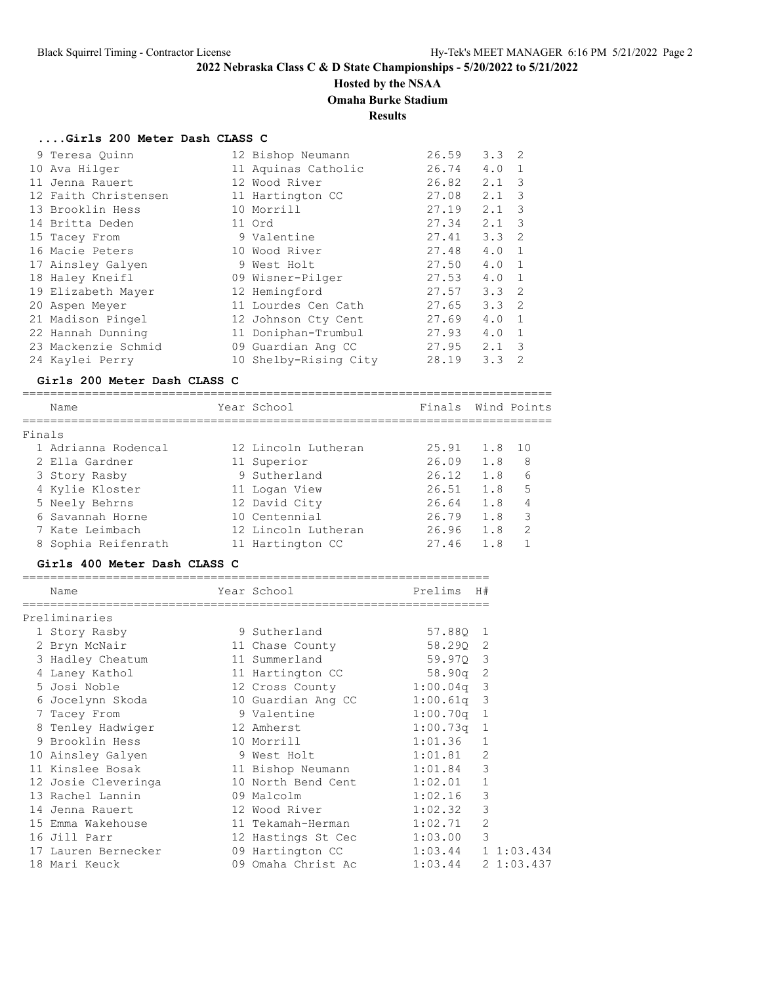# **Hosted by the NSAA**

## **Omaha Burke Stadium**

## **Results**

## **....Girls 200 Meter Dash CLASS C**

| 9 Teresa Ouinn       | 12 Bishop Neumann     | 26.59 | $3.3 \quad 2$ |                |
|----------------------|-----------------------|-------|---------------|----------------|
| 10 Ava Hilger        | 11 Aquinas Catholic   | 26.74 | 4.0           | $\mathbf{1}$   |
| 11 Jenna Rauert      | 12 Wood River         | 26.82 | 2.1           | 3              |
| 12 Faith Christensen | 11 Hartington CC      | 27.08 | 2.1           | - 3            |
| 13 Brooklin Hess     | 10 Morrill            | 27.19 | 2.1           | 3              |
| 14 Britta Deden      | 11 Ord                | 27.34 | 2.1           | 3              |
| 15 Tacey From        | 9 Valentine           | 27.41 | $3.3 \quad 2$ |                |
| 16 Macie Peters      | 10 Wood River         | 27.48 | 4.0           | $\overline{1}$ |
| 17 Ainsley Galyen    | 9 West Holt           | 27.50 | 4.0           | $\overline{1}$ |
| 18 Haley Kneifl      | 09 Wisner-Pilger      | 27.53 | 4.0           | $\overline{1}$ |
| 19 Elizabeth Mayer   | 12 Hemingford         | 27.57 | $3.3 \quad 2$ |                |
| 20 Aspen Meyer       | 11 Lourdes Cen Cath   | 27.65 | $3.3 \quad 2$ |                |
| 21 Madison Pingel    | 12 Johnson Cty Cent   | 27.69 | 4.0           | $\overline{1}$ |
| 22 Hannah Dunning    | 11 Doniphan-Trumbul   | 27.93 | 4.0           | $\overline{1}$ |
| 23 Mackenzie Schmid  | 09 Guardian Ang CC    | 27.95 | 2.1           | 3              |
| 24 Kaylei Perry      | 10 Shelby-Rising City | 28.19 | 3.3           | $\mathcal{L}$  |

#### **Girls 200 Meter Dash CLASS C**

|        | Name                | Year School         | Finals |        | Wind Points   |
|--------|---------------------|---------------------|--------|--------|---------------|
| Finals |                     |                     |        |        |               |
|        | 1 Adrianna Rodencal | 12 Lincoln Lutheran | 25.91  | 1.8 10 |               |
|        | 2 Ella Gardner      | 11 Superior         | 26.09  | 1.8    | 8             |
|        | 3 Story Rasby       | 9 Sutherland        | 26.12  | 1.8    | 6             |
|        | 4 Kylie Kloster     | 11 Logan View       | 26.51  | 1.8    | 5             |
|        | 5 Neely Behrns      | 12 David City       | 26.64  | 1.8    | 4             |
|        | 6 Savannah Horne    | 10 Centennial       | 26.79  | 1.8    | 3             |
|        | 7 Kate Leimbach     | 12 Lincoln Lutheran | 26.96  | 1.8    | $\mathcal{D}$ |
|        | 8 Sophia Reifenrath | 11 Hartington CC    | 27.46  | 1.8    |               |

## **Girls 400 Meter Dash CLASS C**

| Name                | Year School                         | Prelims              | H#             |
|---------------------|-------------------------------------|----------------------|----------------|
| Preliminaries       |                                     |                      |                |
| 1 Story Rasby       | 9 Sutherland                        | 57.880 1             |                |
| 2 Bryn McNair       | 11 Chase County                     | 58.290 2             |                |
| 3 Hadley Cheatum    | 11 Summerland                       | 59.970 3             |                |
| 4 Laney Kathol      | 11 Hartington CC 58.90q 2           |                      |                |
| 5 Josi Noble        | 12 Cross County 1:00.04q 3          |                      |                |
| 6 Jocelynn Skoda    | 10 Guardian Ang CC 1:00.61q 3       |                      |                |
| 7 Tacey From        | 9 Valentine                         | $1:00.70q$ 1         |                |
| 8 Tenley Hadwiger   | 12 Amherst                          | $1:00.73q$ 1         |                |
| 9 Brooklin Hess     | 10 Morrill                          | 1:01.36              | $\mathbf{1}$   |
| 10 Ainsley Galyen   | 9 West Holt                         | 1:01.81              | 2              |
| 11 Kinslee Bosak    | 11 Bishop Neumann 1:01.84           |                      | 3              |
| 12 Josie Cleveringa | 10 North Bend Cent 1:02.01          |                      | $\mathbf{1}$   |
| 13 Rachel Lannin    | 09 Malcolm                          | 1:02.16              | 3              |
| 14 Jenna Rauert     | 12 Wood River                       | 1:02.32              | 3              |
| 15 Emma Wakehouse   | 11 Tekamah-Herman                   | 1:02.71              | $\overline{2}$ |
| 16 Jill Parr        | 12 Hastings St Cec 1:03.00          |                      | 3              |
| 17 Lauren Bernecker | 09 Hartington CC 1:03.44 1 1:03.434 |                      |                |
| 18 Mari Keuck       | 09 Omaha Christ Ac                  | $1:03.44$ 2 1:03.437 |                |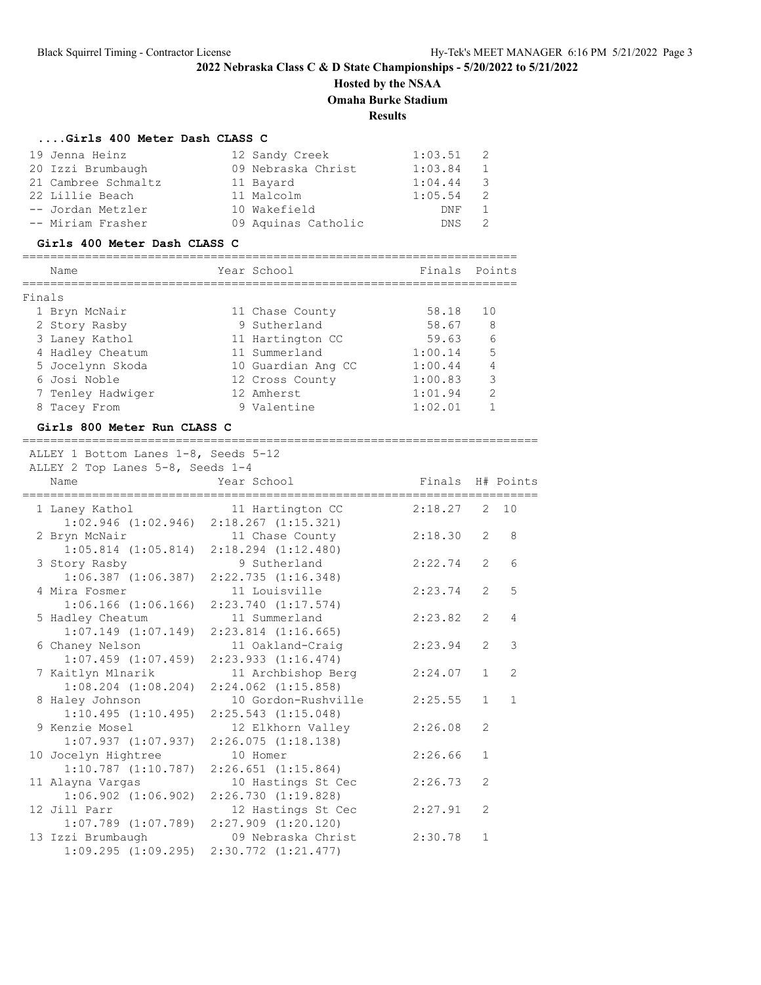# **Hosted by the NSAA**

**Omaha Burke Stadium**

## **Results**

#### **....Girls 400 Meter Dash CLASS C**

| 19 Jenna Heinz      | 12 Sandy Creek      | 1:03.51     |                |
|---------------------|---------------------|-------------|----------------|
| 20 Izzi Brumbaugh   | 09 Nebraska Christ  | 1:03.84     | $\overline{1}$ |
| 21 Cambree Schmaltz | 11 Bayard           | $1:04.44$ 3 |                |
| 22 Lillie Beach     | 11 Malcolm          | 1:05.54     |                |
| -- Jordan Metzler   | 10 Wakefield        | DNF         |                |
| -- Miriam Frasher   | 09 Aquinas Catholic | DNS.        |                |

#### **Girls 400 Meter Dash CLASS C**

## ======================================================================= Name Year School Finals Points ======================================================================= Finals 1 Bryn McNair 11 Chase County 58.18 10 2 Story Rasby 9 Sutherland 58.67 8 3 Laney Kathol 11 Hartington CC 59.63 6 4 Hadley Cheatum 11 Summerland 1:00.14 5 5 Jocelynn Skoda 10 Guardian Ang CC 1:00.44 4 6 Josi Noble 12 Cross County 1:00.83 3 7 Tenley Hadwiger 12 Amherst 1:01.94 2

| 8 Tacey From                                  | 9 Valentine                                     | 1:02.01          | 1              |              |
|-----------------------------------------------|-------------------------------------------------|------------------|----------------|--------------|
| Girls 800 Meter Run CLASS C                   |                                                 |                  |                |              |
| ALLEY 1 Bottom Lanes 1-8, Seeds 5-12          |                                                 |                  |                |              |
| ALLEY 2 Top Lanes 5-8, Seeds 1-4              |                                                 |                  |                |              |
| Name<br>===================================== | Year School                                     | Finals H# Points |                |              |
| 1 Laney Kathol                                | 11 Hartington CC                                | 2:18.27          |                | 2 10         |
|                                               | $1:02.946$ $(1:02.946)$ $2:18.267$ $(1:15.321)$ |                  |                |              |
| 2 Bryn McNair                                 | 11 Chase County                                 | 2:18.30          | 2              | 8            |
| $1:05.814$ $(1:05.814)$                       | $2:18.294$ $(1:12.480)$                         |                  |                |              |
| 3 Story Rasby                                 | 9 Sutherland                                    | 2:22.74          | $\mathcal{L}$  | 6            |
| $1:06.387$ $(1:06.387)$                       | 2:22.735(1:16.348)                              |                  |                |              |
| 4 Mira Fosmer                                 | 11 Louisville                                   | 2:23.74          | $\overline{2}$ | 5            |
| $1:06.166$ $(1:06.166)$                       | $2:23.740$ $(1:17.574)$                         |                  |                |              |
| 5 Hadley Cheatum                              | 11 Summerland                                   | 2:23.82          | $\mathfrak{L}$ | 4            |
| $1:07.149$ $(1:07.149)$                       | $2:23.814$ $(1:16.665)$                         |                  |                |              |
| 6 Chaney Nelson                               | 11 Oakland-Craig                                | 2:23.94          | $\overline{2}$ | 3            |
| $1:07.459$ $(1:07.459)$                       | 2:23.933(1:16.474)                              |                  |                |              |
| 7 Kaitlyn Mlnarik                             | 11 Archbishop Berg                              | 2:24.07          | $\mathbf{1}$   | 2            |
| $1:08.204$ $(1:08.204)$                       | $2:24.062$ $(1:15.858)$                         |                  |                |              |
| 8 Haley Johnson                               | 10 Gordon-Rushville                             | 2:25.55          | $\mathbf{1}$   | $\mathbf{1}$ |
| 1:10.495(1:10.495)                            | $2:25.543$ $(1:15.048)$                         |                  |                |              |
| 9 Kenzie Mosel                                | 12 Elkhorn Valley                               | 2:26.08          | $\mathfrak{L}$ |              |
| $1:07.937$ $(1:07.937)$                       | 2:26.075(1:18.138)                              |                  |                |              |
| 10 Jocelyn Hightree                           | 10 Homer                                        | 2:26.66          | $\mathbf{1}$   |              |
| $1:10.787$ $(1:10.787)$                       | $2:26.651$ $(1:15.864)$                         |                  |                |              |
| 11 Alayna Vargas                              | 10 Hastings St Cec                              | 2:26.73          | $\mathfrak{L}$ |              |
| $1:06.902$ $(1:06.902)$                       | 2:26.730(1:19.828)                              |                  |                |              |
| 12 Jill Parr                                  | 12 Hastings St Cec                              | 2:27.91          | $\overline{2}$ |              |
| $1:07.789$ $(1:07.789)$                       | $2:27.909$ $(1:20.120)$                         |                  |                |              |
| 13 Izzi Brumbaugh                             | 09 Nebraska Christ                              | 2:30.78          | 1              |              |
| 1:09.295(1:09.295)                            | $2:30.772$ $(1:21.477)$                         |                  |                |              |
|                                               |                                                 |                  |                |              |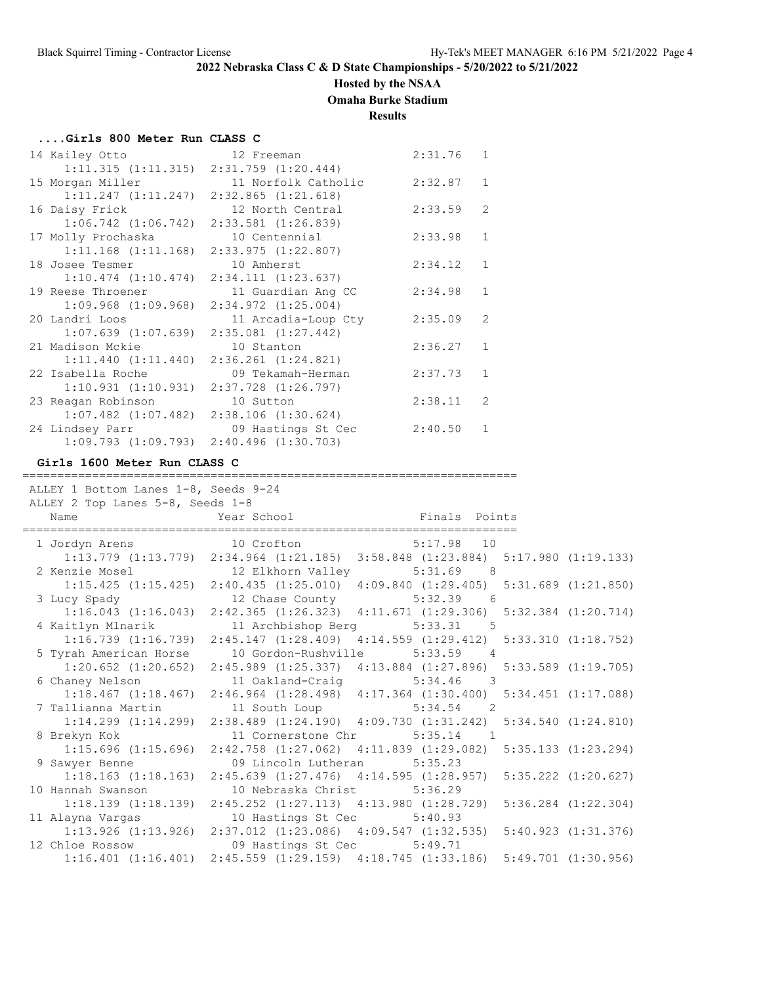## **Hosted by the NSAA**

**Omaha Burke Stadium**

## **Results**

#### **....Girls 800 Meter Run CLASS C**

| 14 Kailey Otto     | 12 Freeman                                      | 2:31.76 | $\mathbf{1}$   |
|--------------------|-------------------------------------------------|---------|----------------|
|                    | $1:11.315$ $(1:11.315)$ $2:31.759$ $(1:20.444)$ |         |                |
| 15 Morgan Miller   | 11 Norfolk Catholic                             | 2:32.87 | $\mathbf{1}$   |
|                    | $1:11.247$ $(1:11.247)$ $2:32.865$ $(1:21.618)$ |         |                |
| 16 Daisy Frick     | 12 North Central                                | 2:33.59 | $\overline{2}$ |
|                    | $1:06.742$ $(1:06.742)$ $2:33.581$ $(1:26.839)$ |         |                |
| 17 Molly Prochaska | 10 Centennial                                   | 2:33.98 | $\mathbf{1}$   |
|                    | $1:11.168$ $(1:11.168)$ $2:33.975$ $(1:22.807)$ |         |                |
| 18 Josee Tesmer    | 10 Amherst                                      | 2:34.12 | $\mathbf{1}$   |
|                    | $1:10.474$ $(1:10.474)$ $2:34.111$ $(1:23.637)$ |         |                |
| 19 Reese Throener  | 11 Guardian Ang CC                              | 2:34.98 | $\mathbf{1}$   |
|                    | $1:09.968$ $(1:09.968)$ $2:34.972$ $(1:25.004)$ |         |                |
| 20 Landri Loos     | 11 Arcadia-Loup Cty                             | 2:35.09 | $\mathcal{L}$  |
|                    | $1:07.639$ $(1:07.639)$ $2:35.081$ $(1:27.442)$ |         |                |
| 21 Madison Mckie   | 10 Stanton                                      | 2:36.27 | $\mathbf{1}$   |
|                    | $1:11.440$ $(1:11.440)$ $2:36.261$ $(1:24.821)$ |         |                |
| 22 Isabella Roche  | 09 Tekamah-Herman                               | 2:37.73 | $\mathbf{1}$   |
|                    | $1:10.931$ $(1:10.931)$ $2:37.728$ $(1:26.797)$ |         |                |
| 23 Reagan Robinson | 10 Sutton                                       | 2:38.11 | $\overline{2}$ |
|                    | $1:07.482$ $(1:07.482)$ $2:38.106$ $(1:30.624)$ |         |                |
| 24 Lindsey Parr    | 09 Hastings St Cec                              | 2:40.50 | $\mathbf{1}$   |
|                    | $1:09.793$ $(1:09.793)$ $2:40.496$ $(1:30.703)$ |         |                |

#### **Girls 1600 Meter Run CLASS C**

======================================================================= ALLEY 1 Bottom Lanes 1-8, Seeds 9-24 ALLEY 2 Top Lanes 5-8, Seeds 1-8 Name **Name** Year School **Finals Points** ======================================================================= 1 Jordyn Arens 10 Crofton 5:17.98 10 1:13.779 (1:13.779) 2:34.964 (1:21.185) 3:58.848 (1:23.884) 5:17.980 (1:19.133) 2 Kenzie Mosel 12 Elkhorn Valley 5:31.69 8 1:15.425 (1:15.425) 2:40.435 (1:25.010) 4:09.840 (1:29.405) 5:31.689 (1:21.850) 3 Lucy Spady 12 Chase County 5:32.39 6 1:16.043 (1:16.043) 2:42.365 (1:26.323) 4:11.671 (1:29.306) 5:32.384 (1:20.714) 4 Kaitlyn Mlnarik 11 Archbishop Berg 5:33.31 5 1:16.739 (1:16.739) 2:45.147 (1:28.409) 4:14.559 (1:29.412) 5:33.310 (1:18.752) 5 Tyrah American Horse 10 Gordon-Rushville 5:33.59 4 1:20.652 (1:20.652) 2:45.989 (1:25.337) 4:13.884 (1:27.896) 5:33.589 (1:19.705) 6 Chaney Nelson 11 Oakland-Craig 5:34.46 3 1:18.467 (1:18.467) 2:46.964 (1:28.498) 4:17.364 (1:30.400) 5:34.451 (1:17.088) 7 Tallianna Martin 11 South Loup 5:34.54 2  $1:14.299$  (1:14.299) 2:38.489 (1:24.190) 4:09.730 (1:31.242) 5:34.540 (1:24.810) 8 Brekyn Kok 11 Cornerstone Chr 5:35.14 1 1:15.696 (1:15.696) 2:42.758 (1:27.062) 4:11.839 (1:29.082) 5:35.133 (1:23.294) 9 Sawyer Benne 09 Lincoln Lutheran 5:35.23 1:18.163 (1:18.163) 2:45.639 (1:27.476) 4:14.595 (1:28.957) 5:35.222 (1:20.627) 10 Hannah Swanson 10 Nebraska Christ 5:36.29 1:18.139 (1:18.139) 2:45.252 (1:27.113) 4:13.980 (1:28.729) 5:36.284 (1:22.304) 11 Alayna Vargas 10 Hastings St Cec 5:40.93 1:13.926 (1:13.926) 2:37.012 (1:23.086) 4:09.547 (1:32.535) 5:40.923 (1:31.376) 12 Chloe Rossow 09 Hastings St Cec 5:49.71 1:16.401 (1:16.401) 2:45.559 (1:29.159) 4:18.745 (1:33.186) 5:49.701 (1:30.956)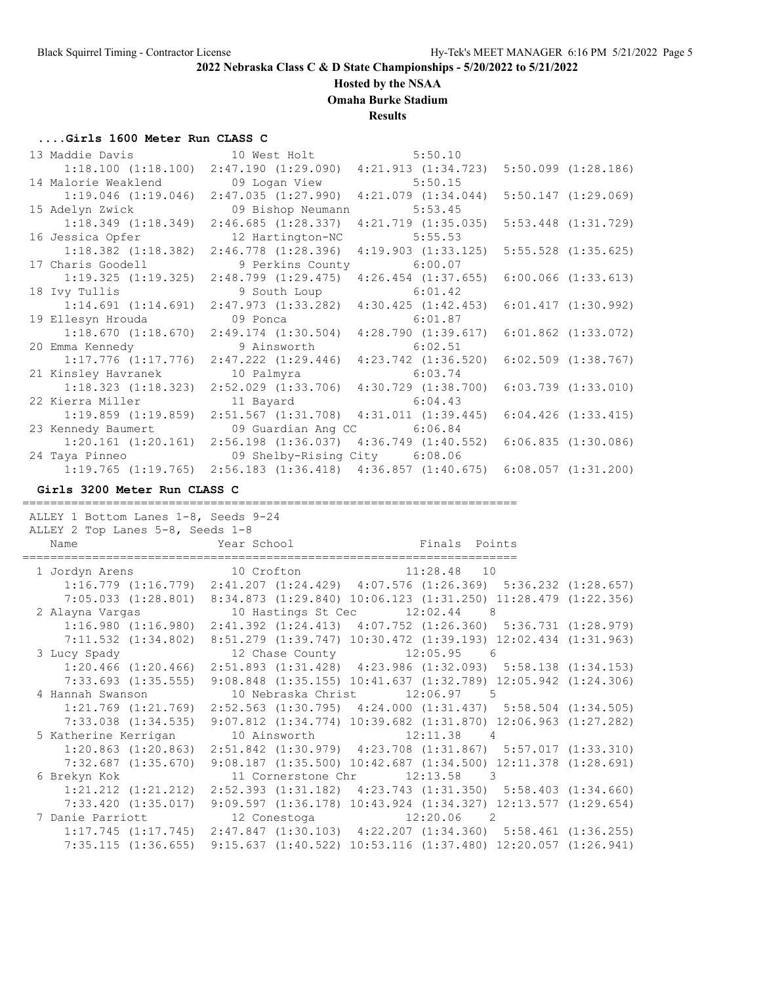#### **Hosted by the NSAA**

**Omaha Burke Stadium**

**Results**

#### **....Girls 1600 Meter Run CLASS C**

|                                                      |                                                                                                 | 5:50.10            |                         |
|------------------------------------------------------|-------------------------------------------------------------------------------------------------|--------------------|-------------------------|
|                                                      | $1:18.100$ $(1:18.100)$ $2:47.190$ $(1:29.090)$ $4:21.913$ $(1:34.723)$ $5:50.099$ $(1:28.186)$ |                    |                         |
| 14 Malorie Weaklend                                  | 09 Logan View                                                                                   | 5:50.15            |                         |
| 1:19.046(1:19.046)                                   | $2:47.035$ $(1:27.990)$ $4:21.079$ $(1:34.044)$                                                 |                    | 5:50.147(1:29.069)      |
| 15 Adelyn Zwick                                      | 09 Bishop Neumann                                                                               | 5:53.45            |                         |
|                                                      | $1:18.349$ (1:18.349) 2:46.685 (1:28.337) 4:21.719 (1:35.035)                                   |                    | $5:53.448$ $(1:31.729)$ |
| 16 Jessica Opfer                                     | 12 Hartington-NC                                                                                | 5:55.53            |                         |
|                                                      | $1:18.382$ $(1:18.382)$ $2:46.778$ $(1:28.396)$                                                 | 4:19.903(1:33.125) | $5:55.528$ $(1:35.625)$ |
| 17 Charis Goodell                                    | 9 Perkins County 6:00.07                                                                        |                    |                         |
|                                                      | $1:19.325$ $(1:19.325)$ $2:48.799$ $(1:29.475)$ $4:26.454$ $(1:37.655)$                         |                    | 6:00.066(1:33.613)      |
| 18 Ivy Tullis                                        | 9 South Loup 6:01.42                                                                            |                    |                         |
|                                                      | $1:14.691$ $(1:14.691)$ $2:47.973$ $(1:33.282)$ $4:30.425$ $(1:42.453)$                         |                    | 6:01.417(1:30.992)      |
| 19 Ellesyn Hrouda                                    | 09 Ponca                                                                                        | 6:01.87            |                         |
|                                                      | $1:18.670$ $(1:18.670)$ $2:49.174$ $(1:30.504)$ $4:28.790$ $(1:39.617)$                         |                    | $6:01.862$ $(1:33.072)$ |
| 20 Emma Kennedy 6 9 Ainsworth                        |                                                                                                 | 6:02.51            |                         |
| $1:17.776$ $(1:17.776)$                              | $2:47.222$ $(1:29.446)$ $4:23.742$ $(1:36.520)$                                                 |                    | $6:02.509$ $(1:38.767)$ |
| 21 Kinsley Havranek                                  | 10 Palmyra 6:03.74                                                                              |                    |                         |
| $1:18.323$ $(1:18.323)$                              | $2:52.029$ $(1:33.706)$ $4:30.729$ $(1:38.700)$                                                 |                    | $6:03.739$ $(1:33.010)$ |
| 22 Kierra Miller                                     | 11 Bayard 6:04.43                                                                               |                    |                         |
|                                                      | $1:19.859$ $(1:19.859)$ $2:51.567$ $(1:31.708)$ $4:31.011$ $(1:39.445)$ $6:04.426$ $(1:33.415)$ |                    |                         |
| 23 Kennedy Baumert                                   | 09 Guardian Ang CC 6:06.84                                                                      |                    |                         |
|                                                      | 1:20.161 (1:20.161) 2:56.198 (1:36.037) 4:36.749 (1:40.552) 6:06.835 (1:30.086)                 |                    |                         |
| 24 Taya Pinneo 6:08.06 09 Shelby-Rising City 6:08.06 |                                                                                                 |                    |                         |
|                                                      | $1:19.765$ $(1:19.765)$ $2:56.183$ $(1:36.418)$ $4:36.857$ $(1:40.675)$                         |                    | 6:08.057(1:31.200)      |

**Girls 3200 Meter Run CLASS C**

======================================================================= ALLEY 1 Bottom Lanes 1-8, Seeds 9-24 ALLEY 2 Top Lanes 5-8, Seeds 1-8 Name **Year School** Finals Points ======================================================================= 1 Jordyn Arens 10 Crofton 11:28.48 10 1:16.779 (1:16.779) 2:41.207 (1:24.429) 4:07.576 (1:26.369) 5:36.232 (1:28.657) 7:05.033 (1:28.801) 8:34.873 (1:29.840) 10:06.123 (1:31.250) 11:28.479 (1:22.356) 2 Alayna Vargas 10 Hastings St Cec 12:02.44 8 1:16.980 (1:16.980) 2:41.392 (1:24.413) 4:07.752 (1:26.360) 5:36.731 (1:28.979) 7:11.532 (1:34.802) 8:51.279 (1:39.747) 10:30.472 (1:39.193) 12:02.434 (1:31.963) 3 Lucy Spady 12 Chase County 12:05.95 6 1:20.466 (1:20.466) 2:51.893 (1:31.428) 4:23.986 (1:32.093) 5:58.138 (1:34.153) 7:33.693 (1:35.555) 9:08.848 (1:35.155) 10:41.637 (1:32.789) 12:05.942 (1:24.306) 4 Hannah Swanson 10 Nebraska Christ 12:06.97 5 1:21.769 (1:21.769) 2:52.563 (1:30.795) 4:24.000 (1:31.437) 5:58.504 (1:34.505) 7:33.038 (1:34.535) 9:07.812 (1:34.774) 10:39.682 (1:31.870) 12:06.963 (1:27.282) 5 Katherine Kerrigan 10 Ainsworth 12:11.38 4 1:20.863 (1:20.863) 2:51.842 (1:30.979) 4:23.708 (1:31.867) 5:57.017 (1:33.310) 7:32.687 (1:35.670) 9:08.187 (1:35.500) 10:42.687 (1:34.500) 12:11.378 (1:28.691) 6 Brekyn Kok 11 Cornerstone Chr 12:13.58 3 1:21.212 (1:21.212) 2:52.393 (1:31.182) 4:23.743 (1:31.350) 5:58.403 (1:34.660) 7:33.420 (1:35.017) 9:09.597 (1:36.178) 10:43.924 (1:34.327) 12:13.577 (1:29.654) 7 Danie Parriott 12 Conestoga 12:20.06 2 1:17.745 (1:17.745) 2:47.847 (1:30.103) 4:22.207 (1:34.360) 5:58.461 (1:36.255) 7:35.115 (1:36.655) 9:15.637 (1:40.522) 10:53.116 (1:37.480) 12:20.057 (1:26.941)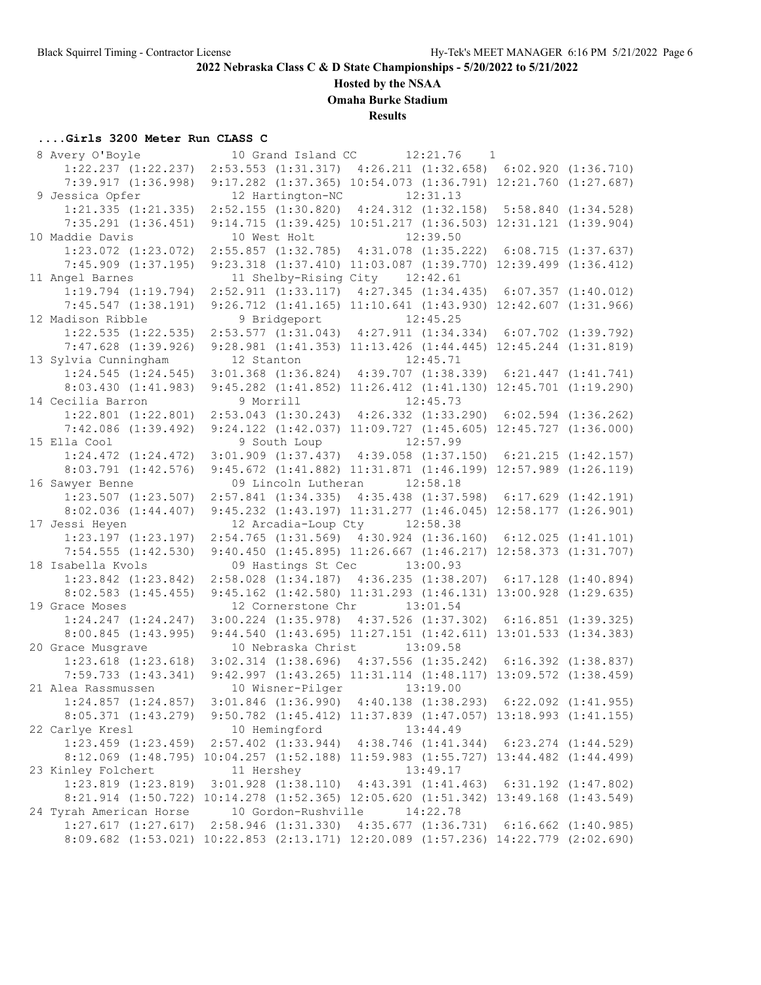## **Hosted by the NSAA**

**Omaha Burke Stadium**

## **Results**

## **....Girls 3200 Meter Run CLASS C**

| 8 Avery O'Boyle                                                                    |            | 10 Grand Island CC             | 12:21.76 | $\overline{1}$                                                          |                         |
|------------------------------------------------------------------------------------|------------|--------------------------------|----------|-------------------------------------------------------------------------|-------------------------|
| $1:22.237$ $(1:22.237)$                                                            |            |                                |          | 2:53.553 (1:31.317) 4:26.211 (1:32.658) 6:02.920 (1:36.710)             |                         |
| 7:39.917(1:36.998)                                                                 |            |                                |          | 9:17.282 (1:37.365) 10:54.073 (1:36.791) 12:21.760 (1:27.687)           |                         |
| 9 Jessica Opfer                                                                    |            | 12 Hartington-NC 12:31.13      |          |                                                                         |                         |
| $1:21.335$ $(1:21.335)$                                                            |            |                                |          | 2:52.155 (1:30.820) 4:24.312 (1:32.158) 5:58.840 (1:34.528)             |                         |
| $7:35.291$ $(1:36.451)$                                                            |            |                                |          | 9:14.715 (1:39.425) 10:51.217 (1:36.503) 12:31.121 (1:39.904)           |                         |
| 10 Maddie Davis                                                                    |            | 10 West Holt                   |          | 12:39.50                                                                |                         |
| $1:23.072$ $(1:23.072)$                                                            |            |                                |          | 2:55.857 (1:32.785) 4:31.078 (1:35.222) 6:08.715 (1:37.637)             |                         |
| $7:45.909$ $(1:37.195)$                                                            |            |                                |          | 9:23.318 (1:37.410) 11:03.087 (1:39.770) 12:39.499 (1:36.412)           |                         |
| 11 Angel Barnes                                                                    |            | 11 Shelby-Rising City 12:42.61 |          |                                                                         |                         |
| $1:19.794$ $(1:19.794)$                                                            |            |                                |          | $2:52.911$ $(1:33.117)$ $4:27.345$ $(1:34.435)$ $6:07.357$ $(1:40.012)$ |                         |
| 7:45.547(1:38.191)                                                                 |            |                                |          | 9:26.712 (1:41.165) 11:10.641 (1:43.930) 12:42.607 (1:31.966)           |                         |
| 12 Madison Ribble                                                                  |            | 9 Bridgeport                   |          | 12:45.25                                                                |                         |
| $1:22.535$ $(1:22.535)$                                                            |            |                                |          | 2:53.577 (1:31.043) 4:27.911 (1:34.334) 6:07.702 (1:39.792)             |                         |
| $7:47.628$ $(1:39.926)$                                                            |            |                                |          | 9:28.981 (1:41.353) 11:13.426 (1:44.445) 12:45.244 (1:31.819)           |                         |
| 13 Sylvia Cunningham                                                               | 12 Stanton |                                |          | 12:45.71                                                                |                         |
| $1:24.545$ $(1:24.545)$                                                            |            |                                |          | $3:01.368$ $(1:36.824)$ $4:39.707$ $(1:38.339)$ $6:21.447$ $(1:41.741)$ |                         |
| 8:03.430(1:41.983)                                                                 |            |                                |          | 9:45.282 (1:41.852) 11:26.412 (1:41.130) 12:45.701 (1:19.290)           |                         |
| 14 Cecilia Barron                                                                  | 9 Morrill  |                                |          | 12:45.73                                                                |                         |
| $1:22.801$ $(1:22.801)$                                                            |            |                                |          | 2:53.043 (1:30.243) 4:26.332 (1:33.290) 6:02.594 (1:36.262)             |                         |
| $7:42.086$ $(1:39.492)$                                                            |            |                                |          | 9:24.122 (1:42.037) 11:09.727 (1:45.605) 12:45.727 (1:36.000)           |                         |
| 15 Ella Cool                                                                       |            | 9 South Loup 12:57.99          |          |                                                                         |                         |
| $1:24.472$ $(1:24.472)$                                                            |            |                                |          | $3:01.909$ $(1:37.437)$ $4:39.058$ $(1:37.150)$ $6:21.215$ $(1:42.157)$ |                         |
| $8:03.791$ $(1:42.576)$                                                            |            |                                |          | 9:45.672 (1:41.882) 11:31.871 (1:46.199) 12:57.989 (1:26.119)           |                         |
| 16 Sawyer Benne                                                                    |            | 09 Lincoln Lutheran            |          | 12:58.18                                                                |                         |
| $1:23.507$ $(1:23.507)$                                                            |            |                                |          | 2:57.841 (1:34.335) 4:35.438 (1:37.598) 6:17.629 (1:42.191)             |                         |
| $8:02.036$ $(1:44.407)$                                                            |            |                                |          | 9:45.232 (1:43.197) 11:31.277 (1:46.045) 12:58.177 (1:26.901)           |                         |
| 17 Jessi Heyen                                                                     |            | 12 Arcadia-Loup Cty 12:58.38   |          |                                                                         |                         |
| $1:23.197$ $(1:23.197)$                                                            |            |                                |          | $2:54.765$ $(1:31.569)$ $4:30.924$ $(1:36.160)$ $6:12.025$ $(1:41.101)$ |                         |
| $7:54.555$ $(1:42.530)$                                                            |            |                                |          | 9:40.450 (1:45.895) 11:26.667 (1:46.217) 12:58.373 (1:31.707)           |                         |
| 18 Isabella Kvols                                                                  |            | 09 Hastings St Cec 13:00.93    |          |                                                                         |                         |
| $1:23.842$ $(1:23.842)$                                                            |            |                                |          | 2:58.028 (1:34.187) 4:36.235 (1:38.207) 6:17.128 (1:40.894)             |                         |
| $8:02.583$ $(1:45.455)$                                                            |            |                                |          | 9:45.162 (1:42.580) 11:31.293 (1:46.131) 13:00.928 (1:29.635)           |                         |
| 19 Grace Moses                                                                     |            | 12 Cornerstone Chr 13:01.54    |          |                                                                         |                         |
| $1:24.247$ $(1:24.247)$                                                            |            |                                |          | $3:00.224$ $(1:35.978)$ $4:37.526$ $(1:37.302)$ $6:16.851$ $(1:39.325)$ |                         |
| 8:00.845(1:43.995)                                                                 |            |                                |          | 9:44.540 (1:43.695) 11:27.151 (1:42.611) 13:01.533 (1:34.383)           |                         |
| 20 Grace Musgrave                                                                  |            | 10 Nebraska Christ             |          | 13:09.58                                                                |                         |
| 1:23.618 (1:23.618) 3:02.314 (1:38.696) 4:37.556 (1:35.242) 6:16.392 (1:38.837)    |            |                                |          |                                                                         |                         |
| 7:59.733 (1:43.341) 9:42.997 (1:43.265) 11:31.114 (1:48.117) 13:09.572 (1:38.459)  |            |                                |          |                                                                         |                         |
| 21 Alea Rassmussen                                                                 |            | 10 Wisner-Pilger 13:19.00      |          |                                                                         |                         |
| $1:24.857$ $(1:24.857)$                                                            |            |                                |          | $3:01.846$ (1:36.990) $4:40.138$ (1:38.293) 6:22.092 (1:41.955)         |                         |
| 8:05.371 (1:43.279)                                                                |            |                                |          | 9:50.782 (1:45.412) 11:37.839 (1:47.057) 13:18.993 (1:41.155)           |                         |
| 22 Carlye Kresl                                                                    |            | 10 Hemingford                  |          | 13:44.49                                                                |                         |
| $1:23.459$ $(1:23.459)$                                                            |            |                                |          | 2:57.402 (1:33.944) 4:38.746 (1:41.344) 6:23.274 (1:44.529)             |                         |
| 8:12.069 (1:48.795) 10:04.257 (1:52.188) 11:59.983 (1:55.727) 13:44.482 (1:44.499) |            |                                |          |                                                                         |                         |
| 23 Kinley Folchert                                                                 | 11 Hershey |                                |          | 13:49.17                                                                |                         |
| $1:23.819$ $(1:23.819)$                                                            |            |                                |          | 3:01.928 (1:38.110) 4:43.391 (1:41.463) 6:31.192 (1:47.802)             |                         |
| 8:21.914 (1:50.722) 10:14.278 (1:52.365) 12:05.620 (1:51.342) 13:49.168 (1:43.549) |            |                                |          |                                                                         |                         |
| 24 Tyrah American Horse                                                            |            | 10 Gordon-Rushville            |          | 14:22.78                                                                |                         |
| $1:27.617$ $(1:27.617)$                                                            |            |                                |          | $2:58.946$ $(1:31.330)$ $4:35.677$ $(1:36.731)$                         | $6:16.662$ $(1:40.985)$ |
| 8:09.682 (1:53.021) 10:22.853 (2:13.171) 12:20.089 (1:57.236) 14:22.779 (2:02.690) |            |                                |          |                                                                         |                         |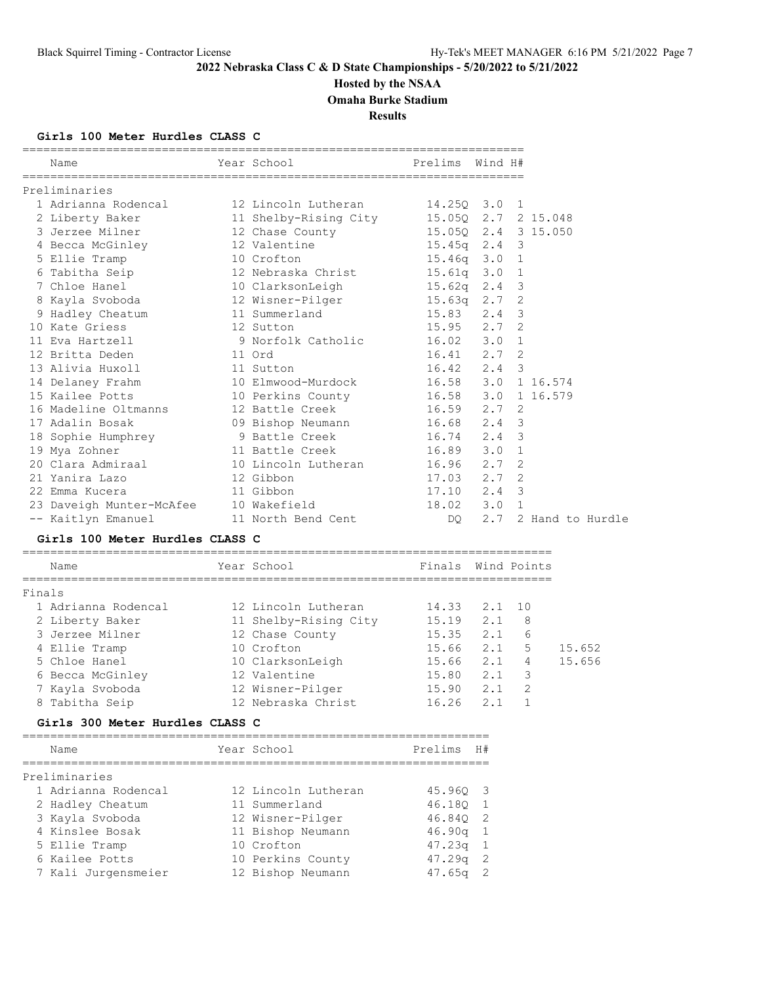# **Hosted by the NSAA**

**Omaha Burke Stadium**

**Results**

## **Girls 100 Meter Hurdles CLASS C**

| Name                                                                                                                                                                          | Year School in the School and the School and the School and the School and the School and the School | Prelims Wind H# |  |                      |
|-------------------------------------------------------------------------------------------------------------------------------------------------------------------------------|------------------------------------------------------------------------------------------------------|-----------------|--|----------------------|
| Preliminaries                                                                                                                                                                 |                                                                                                      |                 |  |                      |
| 1 Adrianna Rodencal 12 Lincoln Lutheran 14.250 3.0 1                                                                                                                          |                                                                                                      |                 |  |                      |
|                                                                                                                                                                               |                                                                                                      |                 |  |                      |
| 2 Liberty Baker 11 Shelby-Rising City 15.050 2.7 2 15.048<br>3 Jerzee Milner 12 Chase County 15.050 2.4 3 15.050                                                              |                                                                                                      |                 |  |                      |
| 4 Becca McGinley 12 Valentine 15.45q 2.4 3                                                                                                                                    |                                                                                                      |                 |  |                      |
|                                                                                                                                                                               |                                                                                                      |                 |  |                      |
|                                                                                                                                                                               |                                                                                                      |                 |  |                      |
| 7 Chloe Hanel 10 ClarksonLeigh 15.62q 2.4 3                                                                                                                                   |                                                                                                      |                 |  |                      |
|                                                                                                                                                                               |                                                                                                      |                 |  |                      |
| 8 Kayla Svoboda                 12 Wisner-Pilger                 15.63q   2.7   2<br>9 Hadley Cheatum                 11 Summerland                         15.83     2.4   3 |                                                                                                      |                 |  |                      |
| 10 Kate Griess 12 Sutton                                                                                                                                                      | 15.95 2.7 2                                                                                          |                 |  |                      |
| 11 Eva Hartzell (a 9 Norfolk Catholic 16.02 3.0 1<br>12 Britta Deden (1 0rd 16.41 2.7 2                                                                                       |                                                                                                      |                 |  |                      |
|                                                                                                                                                                               |                                                                                                      |                 |  |                      |
| 13 Alivia Huxoll 11 Sutton                                                                                                                                                    |                                                                                                      | $16.42$ $2.4$ 3 |  |                      |
| 14 Delaney Frahm 10 Elmwood-Murdock 16.58 3.0 1 16.574                                                                                                                        |                                                                                                      |                 |  |                      |
| 15 Kailee Potts 10 Perkins County 16.58 3.0 1 16.579                                                                                                                          |                                                                                                      |                 |  |                      |
| 16 Madeline Oltmanns 12 Battle Creek 16.59 2.7 2                                                                                                                              |                                                                                                      |                 |  |                      |
| 17 Adalin Bosak                                                                                                                                                               | 09 Bishop Neumann 16.68 2.4 3                                                                        |                 |  |                      |
| 18 Sophie Humphrey 9 Battle Creek 16.74 2.4 3                                                                                                                                 |                                                                                                      |                 |  |                      |
| 19 Mya Zohner                                                                                                                                                                 | 11 Battle Creek 16.89 3.0 1                                                                          |                 |  |                      |
| 20 Clara Admiraal 10 Lincoln Lutheran 16.96 2.7 2                                                                                                                             |                                                                                                      |                 |  |                      |
| 21 Yanira Lazo<br>12 Gibbon                                                                                                                                                   |                                                                                                      | $17.03$ $2.7$ 2 |  |                      |
| 22 Emma Kucera 11 Gibbon                                                                                                                                                      |                                                                                                      | $17.10$ $2.4$ 3 |  |                      |
| 23 Daveigh Munter-McAfee 10 Wakefield 18.02 3.0 1                                                                                                                             |                                                                                                      |                 |  |                      |
| -- Kaitlyn Emanuel 11 North Bend Cent                                                                                                                                         |                                                                                                      | DQ —            |  | 2.7 2 Hand to Hurdle |

## **Girls 100 Meter Hurdles CLASS C**

| Name                | Year School           | Finals Wind Points |        |               |        |
|---------------------|-----------------------|--------------------|--------|---------------|--------|
| Finals              |                       |                    |        |               |        |
| 1 Adrianna Rodencal | 12 Lincoln Lutheran   | 14.33              | 2.1 10 |               |        |
| 2 Liberty Baker     | 11 Shelby-Rising City | 15.19              | 2.1    | 8             |        |
| 3 Jerzee Milner     | 12 Chase County       | 15.35              | 2.1    | 6             |        |
| 4 Ellie Tramp       | 10 Crofton            | 15.66              | 2.1    | .5            | 15.652 |
| 5 Chloe Hanel       | 10 ClarksonLeigh      | 15.66              | 2.1    | 4             | 15.656 |
| 6 Becca McGinley    | 12 Valentine          | 15.80              | 2.1    | 3             |        |
| 7 Kayla Svoboda     | 12 Wisner-Pilger      | 15.90              | 2.1    | $\mathcal{L}$ |        |
| 8 Tabitha Seip      | 12 Nebraska Christ    | 16.26              | 2.1    |               |        |
|                     |                       |                    |        |               |        |

## **Girls 300 Meter Hurdles CLASS C**

| Name                | Year School         | Prelims            | H#             |
|---------------------|---------------------|--------------------|----------------|
| Preliminaries       |                     |                    |                |
| 1 Adrianna Rodencal | 12 Lincoln Lutheran | 45.960 3           |                |
| 2 Hadley Cheatum    | 11 Summerland       | 46.180             | $\overline{1}$ |
| 3 Kayla Svoboda     | 12 Wisner-Pilger    | 46.840             | -2             |
| 4 Kinslee Bosak     | 11 Bishop Neumann   | 46.90q             | - 1            |
| 5 Ellie Tramp       | 10 Crofton          | 47.23q             | 1              |
| 6 Kailee Potts      | 10 Perkins County   | 47.29 <sub>q</sub> | - 2            |
| 7 Kali Jurgensmeier | 12 Bishop Neumann   | 47.65q             |                |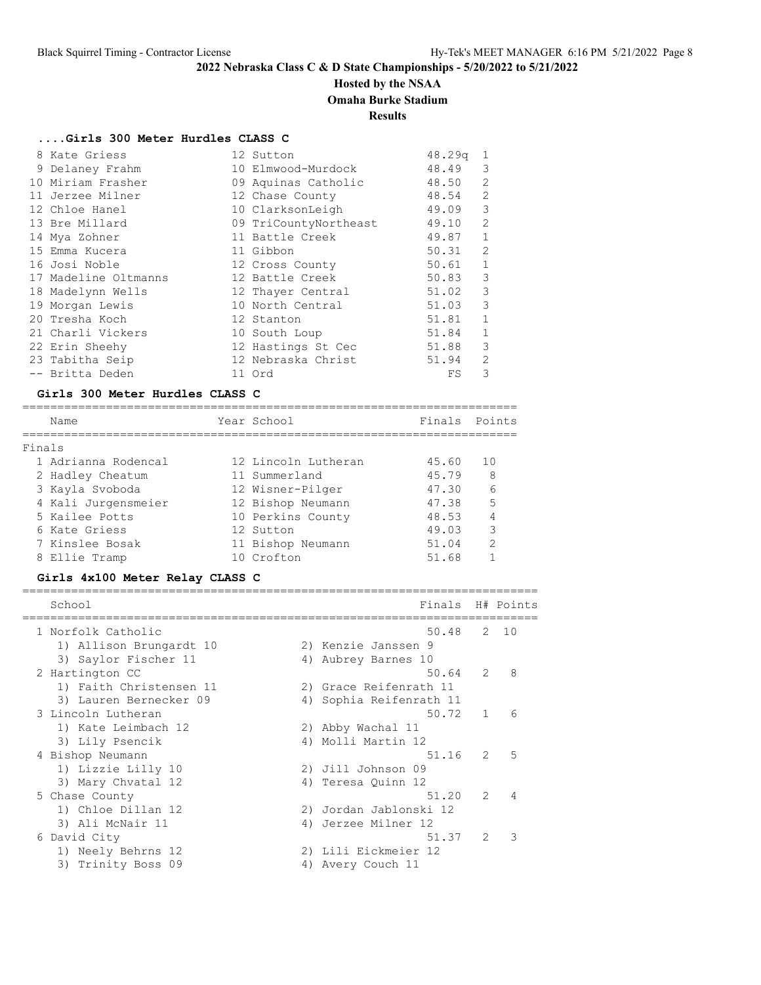## **Hosted by the NSAA**

## **Omaha Burke Stadium**

## **Results**

## **....Girls 300 Meter Hurdles CLASS C**

| 8 Kate Griess        | 12 Sutton             | 48.29q | 1              |
|----------------------|-----------------------|--------|----------------|
| 9 Delaney Frahm      | 10 Elmwood-Murdock    | 48.49  | 3              |
| 10 Miriam Frasher    | 09 Aquinas Catholic   | 48.50  | $\mathfrak{D}$ |
| 11 Jerzee Milner     | 12 Chase County       | 48.54  | 2              |
| 12 Chloe Hanel       | 10 ClarksonLeigh      | 49.09  | 3              |
| 13 Bre Millard       | 09 TriCountyNortheast | 49.10  | 2              |
| 14 Mya Zohner        | 11 Battle Creek       | 49.87  | $\mathbf{1}$   |
| 15 Emma Kucera       | 11 Gibbon             | 50.31  | 2              |
| 16 Josi Noble        | 12 Cross County       | 50.61  | $\mathbf{1}$   |
| 17 Madeline Oltmanns | 12 Battle Creek       | 50.83  | 3              |
| 18 Madelynn Wells    | 12 Thayer Central     | 51.02  | 3              |
| 19 Morgan Lewis      | 10 North Central      | 51.03  | 3              |
| 20 Tresha Koch       | 12 Stanton            | 51.81  | $\mathbf{1}$   |
| 21 Charli Vickers    | 10 South Loup         | 51.84  | $\mathbf{1}$   |
| 22 Erin Sheehy       | 12 Hastings St Cec    | 51.88  | 3              |
| 23 Tabitha Seip      | 12 Nebraska Christ    | 51.94  | 2              |
| -- Britta Deden      | 11 Ord                | FS     | 3              |

## **Girls 300 Meter Hurdles CLASS C**

|        | Name                | Year School         | Finals Points |               |
|--------|---------------------|---------------------|---------------|---------------|
|        |                     |                     |               |               |
| Finals |                     |                     |               |               |
|        | 1 Adrianna Rodencal | 12 Lincoln Lutheran | 45.60         | 10            |
|        | 2 Hadley Cheatum    | 11 Summerland       | 45.79         | 8             |
|        | 3 Kayla Svoboda     | 12 Wisner-Pilger    | 47.30         | 6             |
|        | 4 Kali Jurgensmeier | 12 Bishop Neumann   | 47.38         | 5             |
|        | 5 Kailee Potts      | 10 Perkins County   | 48.53         | 4             |
|        | 6 Kate Griess       | 12 Sutton           | 49.03         | 3             |
|        | 7 Kinslee Bosak     | 11 Bishop Neumann   | 51.04         | $\mathcal{L}$ |
|        | 8 Ellie Tramp       | 10 Crofton          | 51.68         |               |

## **Girls 4x100 Meter Relay CLASS C**

| School                  |    | Finals                 |               | H# Points     |
|-------------------------|----|------------------------|---------------|---------------|
| 1 Norfolk Catholic      |    | 50.48                  | 2             | 10            |
| 1) Allison Brungardt 10 |    | 2) Kenzie Janssen 9    |               |               |
| 3) Saylor Fischer 11    |    | 4) Aubrey Barnes 10    |               |               |
| 2 Hartington CC         |    | 50.64                  | $\mathcal{L}$ | 8             |
| 1) Faith Christensen 11 |    | 2) Grace Reifenrath 11 |               |               |
| 3) Lauren Bernecker 09  | 4) | Sophia Reifenrath 11   |               |               |
| 3 Lincoln Lutheran      |    | 50.72                  | $\mathbf{1}$  | 6             |
| 1) Kate Leimbach 12     |    | 2) Abby Wachal 11      |               |               |
| 3) Lily Psencik         |    | 4) Molli Martin 12     |               |               |
| 4 Bishop Neumann        |    | 51.16                  | $\mathcal{L}$ | 5             |
| 1) Lizzie Lilly 10      |    | 2) Jill Johnson 09     |               |               |
| 3) Mary Chvatal 12      | 4) | Teresa Ouinn 12        |               |               |
| 5 Chase County          |    | 51.20                  | $\mathcal{L}$ | 4             |
| 1) Chloe Dillan 12      | 2) | Jordan Jablonski 12    |               |               |
| 3) Ali McNair 11        | 4) | Jerzee Milner 12       |               |               |
| 6 David City            |    | 51.37                  | $\mathcal{L}$ | $\mathcal{R}$ |
| 1) Neely Behrns 12      | 2) | Lili Eickmeier 12      |               |               |
| 3) Trinity Boss 09      | 4) | Avery Couch 11         |               |               |
|                         |    |                        |               |               |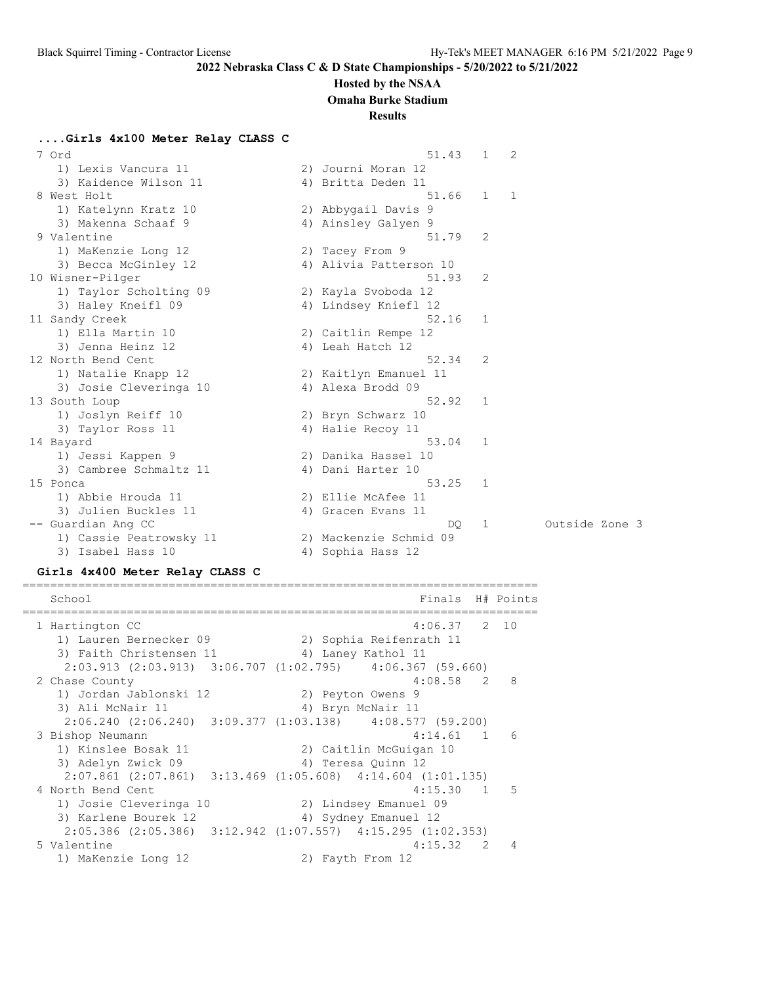#### **Hosted by the NSAA**

**Omaha Burke Stadium**

#### **Results**

**....Girls 4x100 Meter Relay CLASS C**

| 7 Ord                   |    | 51.43                  | 1            | 2              |                |  |
|-------------------------|----|------------------------|--------------|----------------|----------------|--|
| 1) Lexis Vancura 11     |    | 2) Journi Moran 12     |              |                |                |  |
| 3) Kaidence Wilson 11   |    | 4) Britta Deden 11     |              |                |                |  |
| 8 West Holt             |    | 51.66                  | $\mathbf{1}$ | $\overline{1}$ |                |  |
| 1) Katelynn Kratz 10    |    | 2) Abbygail Davis 9    |              |                |                |  |
| 3) Makenna Schaaf 9     |    | 4) Ainsley Galyen 9    |              |                |                |  |
| 9 Valentine             |    | 51.79                  | 2            |                |                |  |
| 1) MaKenzie Long 12     |    | 2) Tacey From 9        |              |                |                |  |
| 3) Becca McGinley 12    |    | 4) Alivia Patterson 10 |              |                |                |  |
| 10 Wisner-Pilger        |    | 51.93                  | 2            |                |                |  |
| 1) Taylor Scholting 09  |    | 2) Kayla Svoboda 12    |              |                |                |  |
| 3) Haley Kneifl 09      |    | 4) Lindsey Kniefl 12   |              |                |                |  |
| 11 Sandy Creek          |    | 52.16                  | 1            |                |                |  |
| 1) Ella Martin 10       |    | 2) Caitlin Rempe 12    |              |                |                |  |
| 3) Jenna Heinz 12       |    | 4) Leah Hatch 12       |              |                |                |  |
| 12 North Bend Cent      |    | 52.34                  | 2            |                |                |  |
| 1) Natalie Knapp 12     |    | 2) Kaitlyn Emanuel 11  |              |                |                |  |
| 3) Josie Cleveringa 10  |    | 4) Alexa Brodd 09      |              |                |                |  |
| 13 South Loup           |    | 52.92                  | 1            |                |                |  |
| 1) Joslyn Reiff 10      |    | 2) Bryn Schwarz 10     |              |                |                |  |
| 3) Taylor Ross 11       |    | 4) Halie Recoy 11      |              |                |                |  |
| 14 Bayard               |    | 53.04                  | 1            |                |                |  |
| 1) Jessi Kappen 9       |    | 2) Danika Hassel 10    |              |                |                |  |
| 3) Cambree Schmaltz 11  |    | 4) Dani Harter 10      |              |                |                |  |
| 15 Ponca                |    | 53.25                  | 1            |                |                |  |
| 1) Abbie Hrouda 11      |    | 2) Ellie McAfee 11     |              |                |                |  |
| 3) Julien Buckles 11    |    | 4) Gracen Evans 11     |              |                |                |  |
| -- Guardian Ang CC      |    | DO                     | 1            |                | Outside Zone 3 |  |
| 1) Cassie Peatrowsky 11 |    | 2) Mackenzie Schmid 09 |              |                |                |  |
| 3) Isabel Hass 10       | 4) | Sophia Hass 12         |              |                |                |  |

#### **Girls 4x400 Meter Relay CLASS C**

========================================================================== School **Finals** H# Points ========================================================================== 1 Hartington CC 4:06.37 2 10 1) Lauren Bernecker 09 2) Sophia Reifenrath 11 3) Faith Christensen 11 <a>
4) Laney Kathol 11 2:03.913 (2:03.913) 3:06.707 (1:02.795) 4:06.367 (59.660) 2 Chase County 1) Jordan Jablonski 12 2) Peyton Owens 9 3) Ali McNair 11 4) Bryn McNair 11 2:06.240 (2:06.240) 3:09.377 (1:03.138) 4:08.577 (59.200) 3 Bishop Neumann 4:14.61 1 6 1) Kinslee Bosak 11 2) Caitlin McGuigan 10 3) Adelyn Zwick 09 12 12 4) Teresa Quinn 12 2:07.861 (2:07.861) 3:13.469 (1:05.608) 4:14.604 (1:01.135) 4 North Bend Cent 4:15.30 1 5 1) Josie Cleveringa 10 2) Lindsey Emanuel 09 3) Karlene Bourek 12 4) Sydney Emanuel 12 2:05.386 (2:05.386) 3:12.942 (1:07.557) 4:15.295 (1:02.353) 5 Valentine 4:15.32 2 4 1) MaKenzie Long 12 2) Fayth From 12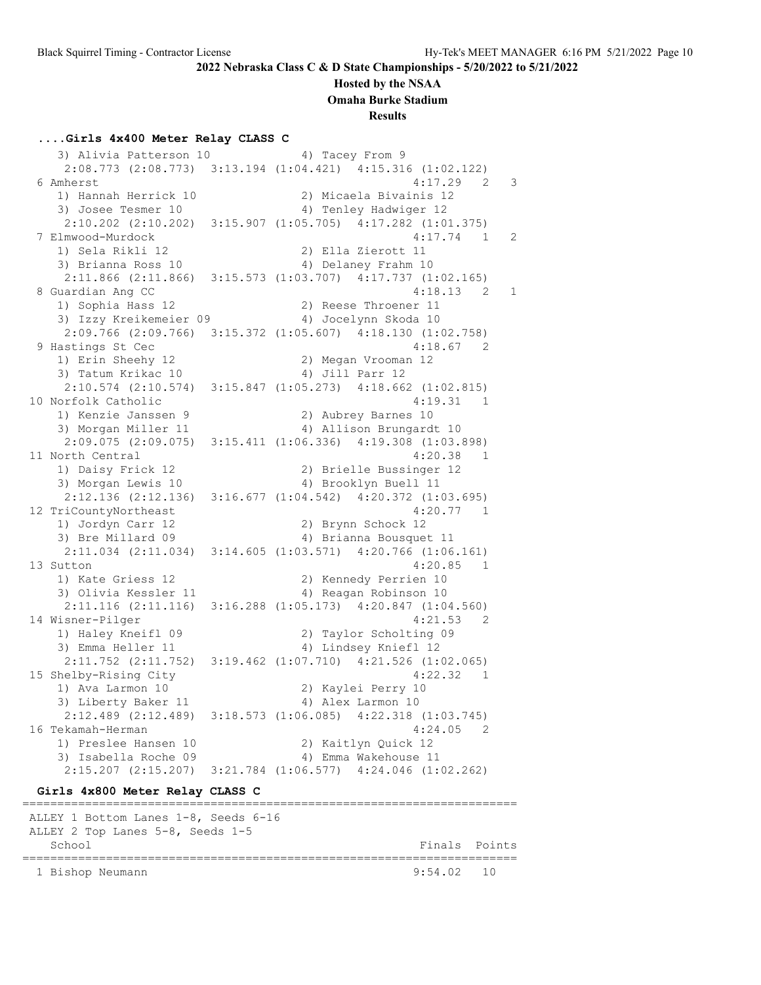#### **Hosted by the NSAA**

**Omaha Burke Stadium**

**Results**

#### **....Girls 4x400 Meter Relay CLASS C**

3) Alivia Patterson 10 4) Tacey From 9 2:08.773 (2:08.773) 3:13.194 (1:04.421) 4:15.316 (1:02.122) 6 Amherst 4:17.29 2 3 1) Hannah Herrick 10 2) Micaela Bivainis 12 3) Josee Tesmer 10 4) Tenley Hadwiger 12 2:10.202 (2:10.202) 3:15.907 (1:05.705) 4:17.282 (1:01.375) 7 Elmwood-Murdock 4:17.74 1 2 1) Sela Rikli 12 2) Ella Zierott 11 3) Brianna Ross 10 4) Delaney Frahm 10 2:11.866 (2:11.866) 3:15.573 (1:03.707) 4:17.737 (1:02.165) 8 Guardian Ang CC 4:18.13 2 1 1) Sophia Hass 12 2) Reese Throener 11 3) Izzy Kreikemeier 09 4) Jocelynn Skoda 10 2:09.766 (2:09.766) 3:15.372 (1:05.607) 4:18.130 (1:02.758) 9 Hastings St Cec 4:18.67 2 1) Erin Sheehy 12 2) Megan Vrooman 12 3) Tatum Krikac 10 (4) Jill Parr 12 2:10.574 (2:10.574) 3:15.847 (1:05.273) 4:18.662 (1:02.815) 10 Norfolk Catholic 4:19.31 1 1) Kenzie Janssen 9 2) Aubrey Barnes 10 3) Morgan Miller 11 4) Allison Brungardt 10 2:09.075 (2:09.075) 3:15.411 (1:06.336) 4:19.308 (1:03.898) 11 North Central 2008 120.38 1 1) Daisy Frick 12 2) Brielle Bussinger 12 3) Morgan Lewis 10 4) Brooklyn Buell 11 2:12.136 (2:12.136) 3:16.677 (1:04.542) 4:20.372 (1:03.695) 12 TriCountyNortheast 4:20.77 1 1) Jordyn Carr 12 2) Brynn Schock 12 3) Bre Millard 09 4) Brianna Bousquet 11 2:11.034 (2:11.034) 3:14.605 (1:03.571) 4:20.766 (1:06.161) 13 Sutton 4:20.85 1 1) Kate Griess 12 2) Kennedy Perrien 10 3) Olivia Kessler 11 4) Reagan Robinson 10 2:11.116 (2:11.116) 3:16.288 (1:05.173) 4:20.847 (1:04.560) 14 Wisner-Pilger 4:21.53 2 1) Haley Kneifl 09 2) Taylor Scholting 09 3) Emma Heller 11 12 14) Lindsey Kniefl 12 2:11.752 (2:11.752) 3:19.462 (1:07.710) 4:21.526 (1:02.065) 15 Shelby-Rising City 4:22.32 1 1) Ava Larmon 10 2) Kaylei Perry 10 2) Aaylel Perry 10<br>3) Liberty Baker 11 4) Alex Larmon 10 2:12.489 (2:12.489) 3:18.573 (1:06.085) 4:22.318 (1:03.745) 16 Tekamah-Herman 4:24.05 2 1) Preslee Hansen 10 2) Kaitlyn Quick 12 3) Isabella Roche 09 (4) Emma Wakehouse 11 2:15.207 (2:15.207) 3:21.784 (1:06.577) 4:24.046 (1:02.262) **Girls 4x800 Meter Relay CLASS C** =======================================================================

 ALLEY 1 Bottom Lanes 1-8, Seeds 6-16 ALLEY 2 Top Lanes 5-8, Seeds 1-5 School **Finals** Points Points Points Points Points Points Points Points Points Points Points Points Points Points Points Points Points Points Points Points Points Points Points Points Points Points Points Points Points Poi ======================================================================= 1 Bishop Neumann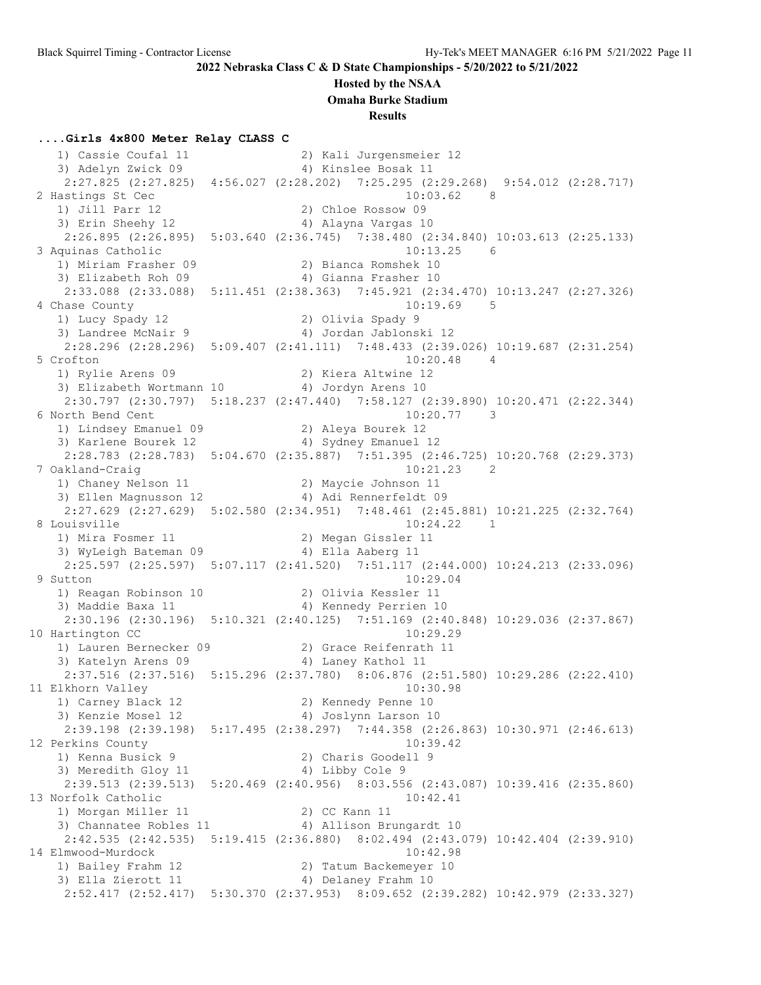#### **Hosted by the NSAA**

**Omaha Burke Stadium**

**Results**

#### **....Girls 4x800 Meter Relay CLASS C**

 1) Cassie Coufal 11 2) Kali Jurgensmeier 12 3) Adelyn Zwick 09 1988 4) Kinslee Bosak 11 2:27.825 (2:27.825) 4:56.027 (2:28.202) 7:25.295 (2:29.268) 9:54.012 (2:28.717) 2 Hastings St Cec 10:03.62 8 1) Jill Parr 12 2) Chloe Rossow 09 3) Erin Sheehy 12 4) Alayna Vargas 10 2:26.895 (2:26.895) 5:03.640 (2:36.745) 7:38.480 (2:34.840) 10:03.613 (2:25.133) 3 Aquinas Catholic 10:13.25 6 1) Miriam Frasher 09 2) Bianca Romshek 10 3) Elizabeth Roh 09 1988 1998 1998 10 2:33.088 (2:33.088) 5:11.451 (2:38.363) 7:45.921 (2:34.470) 10:13.247 (2:27.326) 4 Chase County 10:19.69 5 1) Lucy Spady 12 2) Olivia Spady 9 3) Landree McNair 9 4) Jordan Jablonski 12 2:28.296 (2:28.296) 5:09.407 (2:41.111) 7:48.433 (2:39.026) 10:19.687 (2:31.254) 5 Crofton 10:20.48 4<br>1) Rylie Arens 09 2) Kiera Altwine 12 1) Rylie Arens 09 2) Kiera Altwine 12 3) Elizabeth Wortmann 10 4) Jordyn Arens 10 2:30.797 (2:30.797) 5:18.237 (2:47.440) 7:58.127 (2:39.890) 10:20.471 (2:22.344) 6 North Bend Cent 10:20.77 3 1) Lindsey Emanuel 09 2) Aleya Bourek 12 3) Karlene Bourek 12 4) Sydney Emanuel 12 2:28.783 (2:28.783) 5:04.670 (2:35.887) 7:51.395 (2:46.725) 10:20.768 (2:29.373) 7 Oakland-Craig 10:21.23 2 1) Chaney Nelson 11 2) Maycie Johnson 11 3) Ellen Magnusson 12 4) Adi Rennerfeldt 09 2:27.629 (2:27.629) 5:02.580 (2:34.951) 7:48.461 (2:45.881) 10:21.225 (2:32.764) 8 Louisville 10:24.22 1<br>1) Mira Fosmer 11 2) Megan Gissler 11 1) Mira Fosmer 11 2) Megan Gissler 11 3) WyLeigh Bateman 09 4) Ella Aaberg 11 2:25.597 (2:25.597) 5:07.117 (2:41.520) 7:51.117 (2:44.000) 10:24.213 (2:33.096) 9 Sutton 10:29.04 1) Reagan Robinson 10 2) Olivia Kessler 11 3) Maddie Baxa 11 4) Kennedy Perrien 10 2:30.196 (2:30.196) 5:10.321 (2:40.125) 7:51.169 (2:40.848) 10:29.036 (2:37.867) 10 Hartington CC 10:29.29 1) Lauren Bernecker 09 2) Grace Reifenrath 11 3) Katelyn Arens 09 1988 4) Laney Kathol 11 2:37.516 (2:37.516) 5:15.296 (2:37.780) 8:06.876 (2:51.580) 10:29.286 (2:22.410) 11 Elkhorn Valley 10:30.98 1) Carney Black 12 2) Kennedy Penne 10 3) Kenzie Mosel 12 4) Joslynn Larson 10 2:39.198 (2:39.198) 5:17.495 (2:38.297) 7:44.358 (2:26.863) 10:30.971 (2:46.613)<br>12 Perkins County 10:39.42 12 Perkins County 10:39.42 1) Kenna Busick 9 2) Charis Goodell 9 3) Meredith Gloy 11 4) Libby Cole 9 2:39.513 (2:39.513) 5:20.469 (2:40.956) 8:03.556 (2:43.087) 10:39.416 (2:35.860) 13 Norfolk Catholic 10:42.41 1) Morgan Miller 11 2) CC Kann 11 3) Channatee Robles 11 4) Allison Brungardt 10 2:42.535 (2:42.535) 5:19.415 (2:36.880) 8:02.494 (2:43.079) 10:42.404 (2:39.910) 14 Elmwood-Murdock 10:42.98 1) Bailey Frahm 12 2) Tatum Backemeyer 10 3) Ella Zierott 11 (4) Delaney Frahm 10 2:52.417 (2:52.417) 5:30.370 (2:37.953) 8:09.652 (2:39.282) 10:42.979 (2:33.327)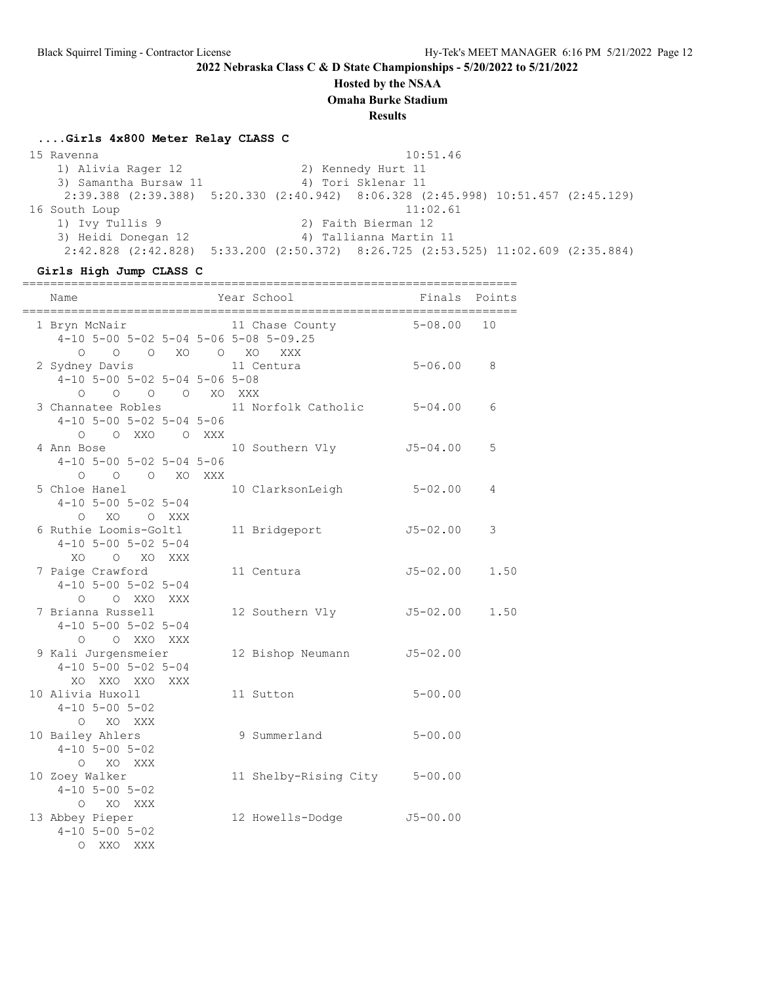## **Hosted by the NSAA**

**Omaha Burke Stadium**

**Results**

#### **....Girls 4x800 Meter Relay CLASS C**

 15 Ravenna 10:51.46 1) Alivia Rager 12 2) Kennedy Hurt 11 3) Samantha Bursaw 11  $\hspace{1cm}$  4) Tori Sklenar 11 2:39.388 (2:39.388) 5:20.330 (2:40.942) 8:06.328 (2:45.998) 10:51.457 (2:45.129) 16 South Loup 11:02.61 1) Ivy Tullis 9 2) Faith Bierman 12 3) Heidi Donegan 12 4) Tallianna Martin 11 2:42.828 (2:42.828) 5:33.200 (2:50.372) 8:26.725 (2:53.525) 11:02.609 (2:35.884)

#### **Girls High Jump CLASS C**

| Name                                                                        | Year School                   | Finals Points |      |
|-----------------------------------------------------------------------------|-------------------------------|---------------|------|
| 1 Bryn McNair<br>4-10 5-00 5-02 5-04 5-06 5-08 5-09.25<br>0 0 0 XO 0 XO XXX | 11 Chase County 5-08.00       |               | 10   |
| 2 Sydney Davis<br>$4-10$ 5-00 5-02 5-04 5-06 5-08<br>0 0 0 0 XO XXX         | 11 Centura                    | $5 - 06.00$   | 8    |
| 3 Channatee Robles<br>$4-10$ 5-00 5-02 5-04 5-06<br>O XXO O XXX<br>$\circ$  | 11 Norfolk Catholic 5-04.00   |               | 6    |
| 4 Ann Bose the Manus<br>$4-10$ 5-00 5-02 5-04 5-06<br>0 0 0 XO XXX          | 10 Southern Vly               | $J5 - 04.00$  | 5    |
| 5 Chloe Hanel<br>$4-10$ 5-00 5-02 5-04<br>O XO O XXX                        | 10 ClarksonLeigh              | $5 - 02.00$   | 4    |
| 6 Ruthie Loomis-Goltl<br>$4-10$ 5-00 5-02 5-04<br>XO O XO XXX               | 11 Bridgeport                 | $J5 - 02.00$  | 3    |
| 7 Paige Crawford<br>$4-10$ 5-00 5-02 5-04<br>O O XXO XXX                    | 11 Centura                    | $J5 - 02.00$  | 1.50 |
| 7 Brianna Russell<br>$4-10$ 5-00 5-02 5-04<br>O O XXO XXX                   | 12 Southern Vly               | J5-02.00      | 1.50 |
| 9 Kali Jurgensmeier<br>$4-10$ 5-00 5-02 5-04<br>XO XXO XXO XXX              | 12 Bishop Neumann             | $J5 - 02.00$  |      |
| 10 Alivia Huxoll<br>$4 - 10$ 5-00 5-02<br>O XO XXX                          | 11 Sutton                     | $5 - 00.00$   |      |
| 10 Bailey Ahlers<br>$4 - 10$ 5-00 5-02<br>O XO XXX                          | 9 Summerland                  | $5 - 00.00$   |      |
| 10 Zoey Walker<br>$4 - 10$ 5-00 5-02<br>O XO XXX                            | 11 Shelby-Rising City 5-00.00 |               |      |
| 13 Abbey Pieper<br>$4 - 10$ 5-00 5-02<br>XXO XXX<br>$\circ$                 | 12 Howells-Dodge              | $J5 - 00.00$  |      |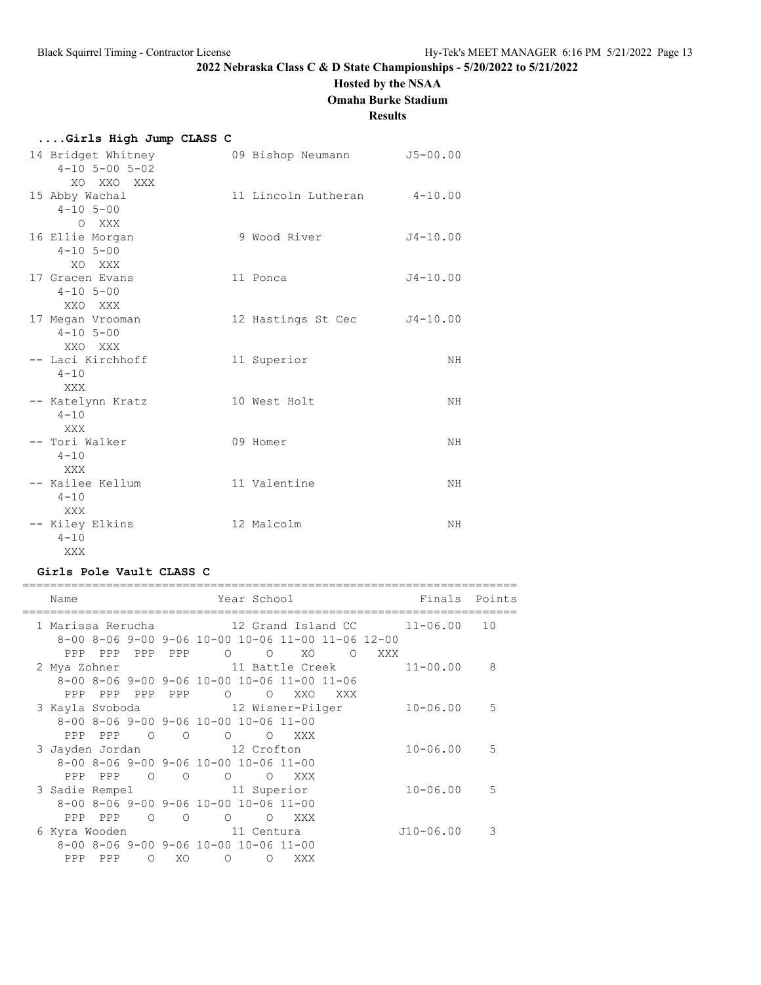# **Hosted by the NSAA**

**Omaha Burke Stadium**

## **Results**

| Girls High Jump CLASS C                                    |                             |              |
|------------------------------------------------------------|-----------------------------|--------------|
| 14 Bridget Whitney<br>$4 - 10$ 5 - 00 5 - 02<br>XO XXO XXX | 09 Bishop Neumann           | $J5 - 00.00$ |
| 15 Abby Wachal<br>$4 - 10$ 5-00<br>O XXX                   | 11 Lincoln Lutheran 4-10.00 |              |
| 16 Ellie Morgan<br>$4 - 10$ 5-00<br>XO XXX                 | 9 Wood River                | $J4 - 10.00$ |
| 17 Gracen Evans<br>$4 - 10$ 5-00<br>XXO XXX                | 11 Ponca                    | $J4 - 10.00$ |
| 17 Megan Vrooman<br>$4 - 10$ 5-00<br>XXO XXX               | 12 Hastings St Cec          | $J4 - 10.00$ |
| -- Laci Kirchhoff<br>$4 - 10$<br>XXX                       | 11 Superior                 | NΗ           |
| -- Katelynn Kratz<br>$4 - 10$<br>XXX                       | 10 West Holt                | NH           |
| -- Tori Walker<br>$4 - 10$<br>XXX                          | 09 Homer                    | NH           |
| -- Kailee Kellum<br>$4 - 10$<br>XXX                        | 11 Valentine                | NΗ           |
| -- Kiley Elkins<br>$4 - 10$<br>XXX X                       | 12 Malcolm                  | NH           |

## **Girls Pole Vault CLASS C**

|  | Name            |         |                |                          |                                              |                                              | Year School and the School                        |         |     |                                                                     | Finals Points |
|--|-----------------|---------|----------------|--------------------------|----------------------------------------------|----------------------------------------------|---------------------------------------------------|---------|-----|---------------------------------------------------------------------|---------------|
|  |                 |         |                |                          |                                              |                                              |                                                   |         |     | 1 Marissa Rerucha               12 Grand Island CC         11-06.00 | 10            |
|  |                 |         |                |                          |                                              |                                              | 8-00 8-06 9-00 9-06 10-00 10-06 11-00 11-06 12-00 |         |     |                                                                     |               |
|  |                 | PPP PPP | PPP            | PPP                      |                                              |                                              | XO.                                               | $\circ$ | XXX |                                                                     |               |
|  | 2 Mya Zohner    |         |                |                          |                                              |                                              | 11 Battle Creek                                   |         |     | $11 - 00.00$                                                        | 8             |
|  |                 |         |                |                          |                                              |                                              | 8-00 8-06 9-00 9-06 10-00 10-06 11-00 11-06       |         |     |                                                                     |               |
|  |                 |         | PPP PPP PPP    | PPP                      | $\circ$ 0                                    | $\circ$                                      | XXO                                               | XXX     |     |                                                                     |               |
|  |                 |         |                |                          |                                              |                                              | 3 Kayla Svoboda 12 Wisner-Pilger                  |         |     | $10 - 06.00$                                                        | .5            |
|  |                 |         |                |                          | 8-00 8-06 9-00 9-06 10-00 10-06 11-00        |                                              |                                                   |         |     |                                                                     |               |
|  | PPP             | PPP     | $\overline{O}$ | $\overline{O}$           |                                              | $\begin{matrix} 0 & 0 \\ 0 & 0 \end{matrix}$ | XXX X                                             |         |     |                                                                     |               |
|  | 3 Jayden Jordan |         |                |                          | 12 Crofton                                   |                                              |                                                   |         |     | $10 - 06.00$                                                        | 5             |
|  |                 |         |                |                          | 8-00 8-06 9-00 9-06 10-00 10-06 11-00        |                                              |                                                   |         |     |                                                                     |               |
|  |                 | PPP PPP | $\overline{O}$ | $\overline{\phantom{0}}$ | $\begin{matrix} 0 & 0 \\ 0 & 0 \end{matrix}$ |                                              | XXX                                               |         |     |                                                                     |               |
|  |                 |         |                |                          | 3 Sadie Rempel 11 Superior                   |                                              |                                                   |         |     | $10 - 06.00$                                                        | 5             |
|  |                 |         |                |                          | 8-00 8-06 9-00 9-06 10-00 10-06 11-00        |                                              |                                                   |         |     |                                                                     |               |
|  |                 | PPP PPP | $\circ$        | $\circ$                  | $\Omega$                                     | $\circ$                                      | XXX                                               |         |     |                                                                     |               |
|  | 6 Kyra Wooden   |         |                |                          | and 11 Centura                               |                                              |                                                   |         |     | $J10-06.00$                                                         | 3             |
|  |                 |         |                |                          | 8-00 8-06 9-00 9-06 10-00 10-06 11-00        |                                              |                                                   |         |     |                                                                     |               |
|  | PPP             | PPP     | $\circ$        | XO                       | $\overline{O}$                               | $\Omega$                                     | XXX                                               |         |     |                                                                     |               |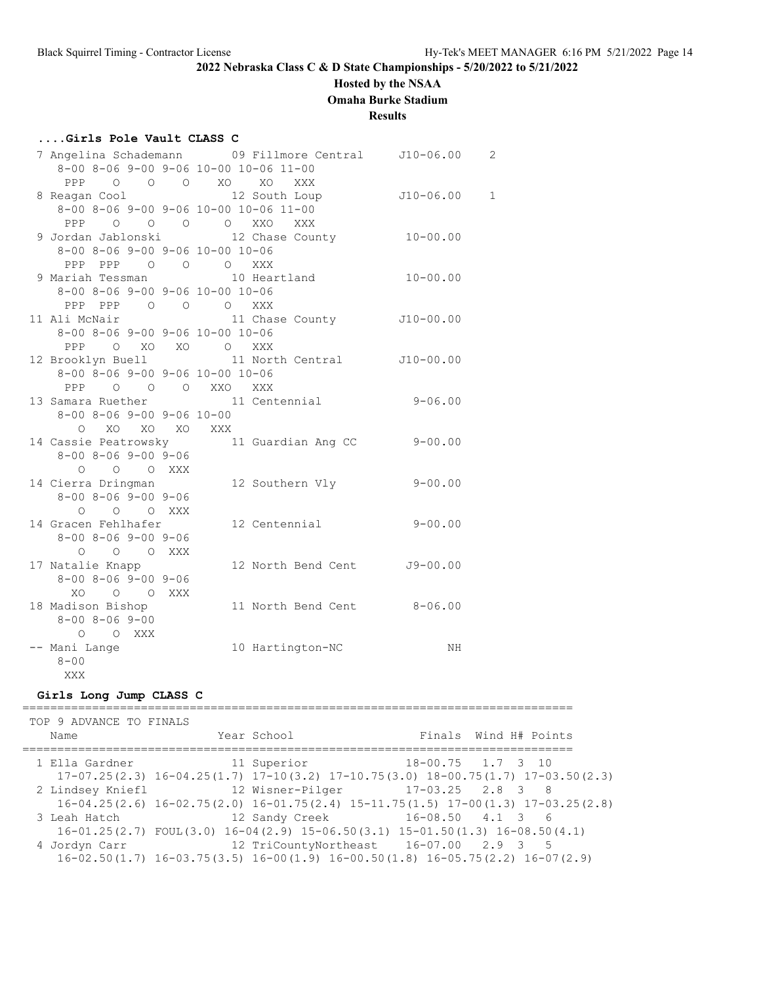## **Hosted by the NSAA**

**Omaha Burke Stadium**

**Results**

## **....Girls Pole Vault CLASS C**

|                                                      | 7 Angelina Schademann and 9 Fillmore Central and J10-06.00 |              | 2           |
|------------------------------------------------------|------------------------------------------------------------|--------------|-------------|
|                                                      | 8-00 8-06 9-00 9-06 10-00 10-06 11-00                      |              |             |
|                                                      | PPP 0 0 0 XO XO<br>XXX                                     |              |             |
| 8 Reagan Cool and the Reagan Cool                    | 12 South Loup J10-06.00                                    |              | $\mathbf 1$ |
|                                                      | 8-00 8-06 9-00 9-06 10-00 10-06 11-00                      |              |             |
|                                                      | PPP 0 0 0 0 XXO XXX                                        |              |             |
|                                                      | 9 Jordan Jablonski 12 Chase County                         | $10 - 00.00$ |             |
| 8-00 8-06 9-00 9-06 10-00 10-06                      |                                                            |              |             |
| PPP PPP 0 0 0 XXX                                    |                                                            |              |             |
|                                                      | 9 Mariah Tessman 10 Heartland                              | $10 - 00.00$ |             |
| $8-00$ $8-06$ $9-00$ $9-06$ $10-00$ $10-06$          |                                                            |              |             |
| PPP PPP 0 0 0 XXX                                    |                                                            |              |             |
| 11 Ali McNair                                        | 11 Chase County J10-00.00                                  |              |             |
| 8-00 8-06 9-00 9-06 10-00 10-06                      |                                                            |              |             |
| PPP O XO XO O XXX                                    |                                                            |              |             |
|                                                      | 12 Brooklyn Buell 11 North Central 510-00.00               |              |             |
| 8-00 8-06 9-00 9-06 10-00 10-06                      |                                                            |              |             |
| PPP 0 0 0 XXO XXX                                    |                                                            |              |             |
|                                                      | 13 Samara Ruether 11 Centennial                            | $9 - 06.00$  |             |
| $8 - 00$ $8 - 06$ $9 - 00$ $9 - 06$ $10 - 00$        |                                                            |              |             |
| O XO XO XO XXX                                       |                                                            |              |             |
|                                                      | 14 Cassie Peatrowsky 11 Guardian Ang CC                    | $9 - 00.00$  |             |
| $8 - 00$ $8 - 06$ $9 - 00$ $9 - 06$                  |                                                            |              |             |
| $O$ $O$ $O$ $XXX$                                    |                                                            |              |             |
| 14 Cierra Dringman                                   | 12 Southern Vly                                            | $9 - 00.00$  |             |
| $8 - 00$ $8 - 06$ $9 - 00$ $9 - 06$                  |                                                            |              |             |
| $\begin{matrix} 0 & 0 & 0 & \text{XXX} \end{matrix}$ |                                                            |              |             |
| 14 Gracen Fehlhafer                                  | 12 Centennial                                              | $9 - 00.00$  |             |
| $8 - 00$ $8 - 06$ $9 - 00$ $9 - 06$                  |                                                            |              |             |
| O O O XXX                                            |                                                            |              |             |
| 17 Natalie Knapp                                     | 12 North Bend Cent J9-00.00                                |              |             |
| $8 - 00$ $8 - 06$ $9 - 00$ $9 - 06$                  |                                                            |              |             |
| XO O O XXX                                           |                                                            |              |             |
| 18 Madison Bishop                                    | 11 North Bend Cent 8-06.00                                 |              |             |
| $8 - 00$ $8 - 06$ $9 - 00$                           |                                                            |              |             |
| O O XXX                                              |                                                            |              |             |
| -- Mani Lange                                        | 10 Hartington-NC                                           | NH           |             |
| $8 - 00$                                             |                                                            |              |             |
| XXX                                                  |                                                            |              |             |

# **Girls Long Jump CLASS C**

===============================================================================

| TOP 9 ADVANCE TO FINALS |  |                                                                                              |  |  |  |  |  |
|-------------------------|--|----------------------------------------------------------------------------------------------|--|--|--|--|--|
| Name                    |  | Finals Wind H# Points<br>Year School                                                         |  |  |  |  |  |
| 1 Ella Gardner          |  | 18-00.75 1.7 3 10<br>11 Superior                                                             |  |  |  |  |  |
|                         |  | $17-07.25(2.3)$ $16-04.25(1.7)$ $17-10(3.2)$ $17-10.75(3.0)$ $18-00.75(1.7)$ $17-03.50(2.3)$ |  |  |  |  |  |
|                         |  |                                                                                              |  |  |  |  |  |
|                         |  | $16-04.25(2.6)$ $16-02.75(2.0)$ $16-01.75(2.4)$ $15-11.75(1.5)$ $17-00(1.3)$ $17-03.25(2.8)$ |  |  |  |  |  |
| 3 Leah Hatch            |  | $16-08.50$ $4.1$ 3 6<br>12 Sandy Creek                                                       |  |  |  |  |  |
|                         |  | $16-01.25(2.7)$ FOUL(3.0) $16-04(2.9)$ $15-06.50(3.1)$ $15-01.50(1.3)$ $16-08.50(4.1)$       |  |  |  |  |  |
| 4 Jordyn Carr           |  | 12 TriCountyNortheast  16-07.00  2.9  3  5                                                   |  |  |  |  |  |
|                         |  | $16-02.50(1.7)$ $16-03.75(3.5)$ $16-00(1.9)$ $16-00.50(1.8)$ $16-05.75(2.2)$ $16-07(2.9)$    |  |  |  |  |  |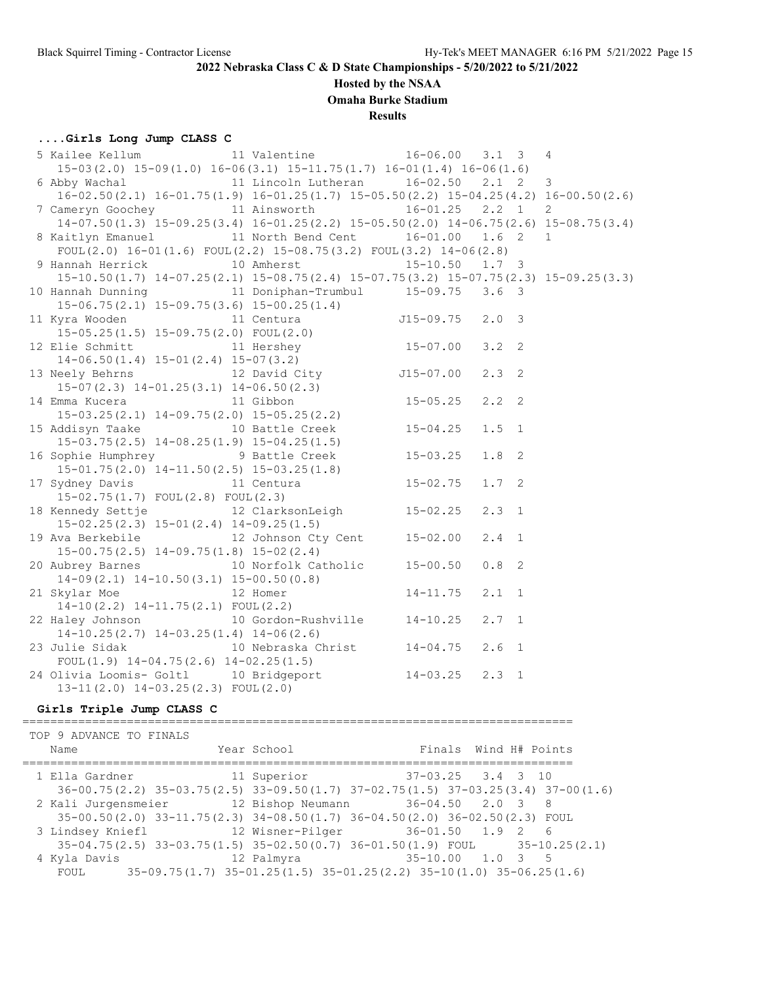#### **Hosted by the NSAA**

**Omaha Burke Stadium**

**Results**

#### **....Girls Long Jump CLASS C**

| 5 Kailee Kellum 11 Valentine 16-06.00 3.1 3 4                                                                                              |  |              |               |  |
|--------------------------------------------------------------------------------------------------------------------------------------------|--|--------------|---------------|--|
| $15-03(2.0)$ $15-09(1.0)$ $16-06(3.1)$ $15-11.75(1.7)$ $16-01(1.4)$ $16-06(1.6)$                                                           |  |              |               |  |
| 6 Abby Wachal 11 Lincoln Lutheran 16-02.50 2.1 2 3                                                                                         |  |              |               |  |
| $16-02.50(2.1)$ $16-01.75(1.9)$ $16-01.25(1.7)$ $15-05.50(2.2)$ $15-04.25(4.2)$ $16-00.50(2.6)$                                            |  |              |               |  |
| 7 Cameryn Goochey 11 Ainsworth 16-01.25 2.2 1 2                                                                                            |  |              |               |  |
| 14-07.50(1.3) 15-09.25(3.4) 16-01.25(2.2) 15-05.50(2.0) 14-06.75(2.6) 15-08.75(3.4)                                                        |  |              |               |  |
| 8 Kaitlyn Emanuel 11 North Bend Cent 16-01.00 1.6 2 1                                                                                      |  |              |               |  |
| FOUL(2.0) $16-01(1.6)$ FOUL(2.2) $15-08.75(3.2)$ FOUL(3.2) $14-06(2.8)$                                                                    |  |              |               |  |
| 9 Hannah Herrick 10 Amherst 15-10.50 1.7 3                                                                                                 |  |              |               |  |
| 15-10.50(1.7) 14-07.25(2.1) 15-08.75(2.4) 15-07.75(3.2) 15-07.75(2.3) 15-09.25(3.3)                                                        |  |              |               |  |
| 10 Hannah Dunning 11 Doniphan-Trumbul 15-09.75 3.6 3                                                                                       |  |              |               |  |
| $15-06.75(2.1)$ $15-09.75(3.6)$ $15-00.25(1.4)$                                                                                            |  |              |               |  |
| 11 Kyra Wooden 11 Centura 515-09.75 2.0 3                                                                                                  |  |              |               |  |
|                                                                                                                                            |  |              |               |  |
| 11 Ayra woodch<br>15-05.25(1.5) 15-09.75(2.0) FOUL(2.0)<br>12 Elie Schmitt<br>15-07.00                                                     |  |              | $3.2 \quad 2$ |  |
|                                                                                                                                            |  |              |               |  |
|                                                                                                                                            |  |              | $2.3 \quad 2$ |  |
|                                                                                                                                            |  |              |               |  |
| 14-06.50(1.4) 15-01(2.4) 15-07(3.2)<br>13 Neely Behrns 12 David City<br>15-07(2.3) 14-01.25(3.1) 14-06.50(2.3)<br>14 Emma Kucera 11 Gibbon |  |              | $2.2$ 2       |  |
| $15-03.25(2.1)$ $14-09.75(2.0)$ $15-05.25(2.2)$                                                                                            |  |              |               |  |
| 15 Addisyn Taake 10 Battle Creek 15-04.25                                                                                                  |  |              | $1.5$ 1       |  |
| $15-03.75(2.5)$ $14-08.25(1.9)$ $15-04.25(1.5)$                                                                                            |  |              |               |  |
| 16 Sophie Humphrey 9 Battle Creek 15-03.25                                                                                                 |  |              | $1.8-2$       |  |
| $15-01.75(2.0)$ $14-11.50(2.5)$ $15-03.25(1.8)$                                                                                            |  |              |               |  |
| 17 Sydney Davis<br>11 Centura<br>15 00 75/1 7) FOIL(2 8) FOIL(2 3)                                                                         |  | $15 - 02.75$ | $1.7-2$       |  |
| 15-02.75(1.7) FOUL(2.8) FOUL(2.3)                                                                                                          |  |              |               |  |
| 18 Kennedy Settje 12 ClarksonLeigh 15-02.25                                                                                                |  |              | $2.3 \quad 1$ |  |
| $15-02.25(2.3)$ $15-01(2.4)$ $14-09.25(1.5)$                                                                                               |  |              |               |  |
| 19 Ava Berkebile 12 Johnson Cty Cent 15-02.00                                                                                              |  |              | $2.4$ 1       |  |
| $15-00.75(2.5)$ $14-09.75(1.8)$ $15-02(2.4)$                                                                                               |  |              |               |  |
| 20 Aubrey Barnes 10 Norfolk Catholic 15-00.50<br>Albrey Barnes<br>14-09(2.1) 14-10.50(3.1) 15-00.50(0.8)<br>12 Homer<br>14-11.75           |  |              | $0.8$ 2       |  |
|                                                                                                                                            |  |              |               |  |
| 21 Skylar Moe 12 Homer                                                                                                                     |  |              | $2.1 \quad 1$ |  |
|                                                                                                                                            |  |              |               |  |
| 22 Haley Johnson 10 Gordon-Rushville 14-10.25                                                                                              |  |              | $2.7 \quad 1$ |  |
| $14-10.25(2.7)$ $14-03.25(1.4)$ $14-06(2.6)$                                                                                               |  |              |               |  |
| 23 Julie Sidak 10 Nebraska Christ 14-04.75                                                                                                 |  |              | $2.6$ 1       |  |
| FOUL $(1.9)$ 14-04.75 $(2.6)$ 14-02.25 $(1.5)$                                                                                             |  |              |               |  |
| 24 Olivia Loomis- Goltl 10 Bridgeport 14-03.25 2.3 1                                                                                       |  |              |               |  |
| $13-11(2.0)$ $14-03.25(2.3)$ FOUL $(2.0)$                                                                                                  |  |              |               |  |

#### **Girls Triple Jump CLASS C**

=============================================================================== TOP 9 ADVANCE TO FINALS Name Year School Finals Wind H# Points =============================================================================== 1 Ella Gardner 11 Superior 37-03.25 3.4 3 10 36-00.75(2.2) 35-03.75(2.5) 33-09.50(1.7) 37-02.75(1.5) 37-03.25(3.4) 37-00(1.6) 2 Kali Jurgensmeier 12 Bishop Neumann 36-04.50 2.0 3 8 35-00.50(2.0) 33-11.75(2.3) 34-08.50(1.7) 36-04.50(2.0) 36-02.50(2.3) FOUL 3 Lindsey Kniefl 12 Wisner-Pilger 36-01.50 1.9 2 6 35-04.75(2.5) 33-03.75(1.5) 35-02.50(0.7) 36-01.50(1.9) FOUL 35-10.25(2.1) 4 Kyla Davis 12 Palmyra 35-10.00 1.0 3 5 FOUL  $35-09.75(1.7) 35-01.25(1.5) 35-01.25(2.2) 35-10(1.0) 35-06.25(1.6)$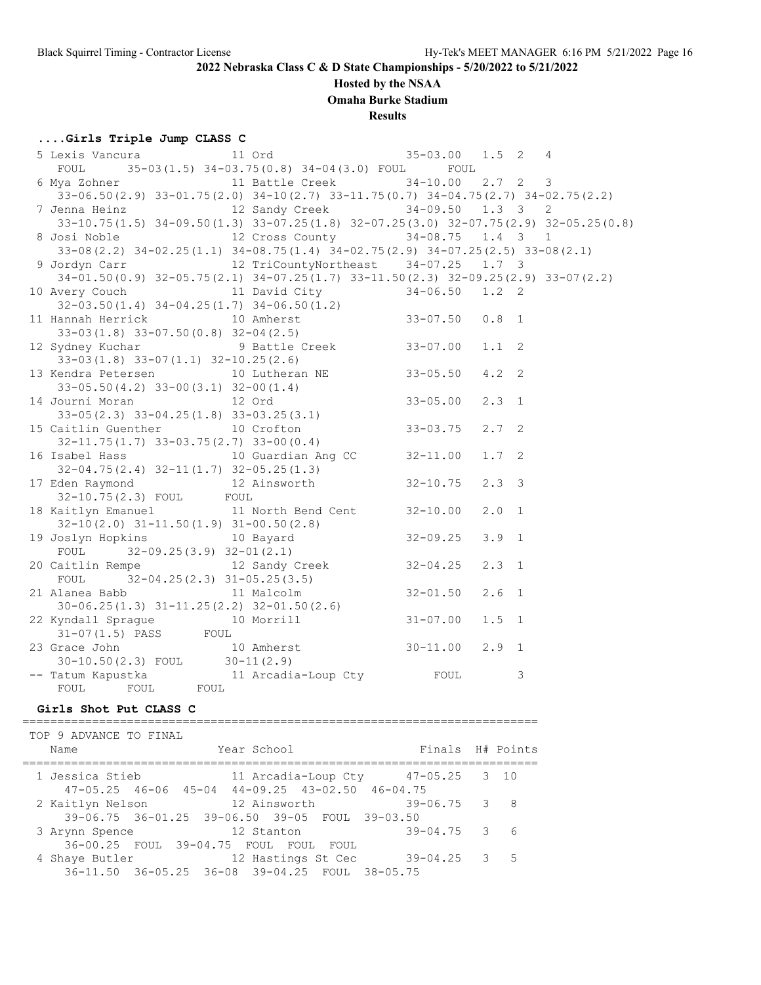## **Hosted by the NSAA**

**Omaha Burke Stadium**

**Results**

## **....Girls Triple Jump CLASS C**

| FOUL 35-03(1.5) 34-03.75(0.8) 34-04(3.0) FOUL FOUL                                                                                                                                |  |               |  |
|-----------------------------------------------------------------------------------------------------------------------------------------------------------------------------------|--|---------------|--|
| 6 Mya Zohner 11 Battle Creek 34-10.00 2.7 2 3                                                                                                                                     |  |               |  |
| 33-06.50(2.9) 33-01.75(2.0) 34-10(2.7) 33-11.75(0.7) 34-04.75(2.7) 34-02.75(2.2)                                                                                                  |  |               |  |
| 7 Jenna Heinz 12 Sandy Creek 34-09.50 1.3 3 2                                                                                                                                     |  |               |  |
| 33-10.75 (1.5) 34-09.50 (1.3) 33-07.25 (1.8) 32-07.25 (3.0) 32-07.75 (2.9) 32-05.25 (0.8)                                                                                         |  |               |  |
| 8 Josi Noble 12 Cross County 34-08.75 1.4 3 1                                                                                                                                     |  |               |  |
| 33-08 (2.2) 34-02.25 (1.1) 34-08.75 (1.4) 34-02.75 (2.9) 34-07.25 (2.5) 33-08 (2.1)                                                                                               |  |               |  |
| 9 Jordyn Carr 12 TriCountyNortheast 34-07.25 1.7 3                                                                                                                                |  |               |  |
| $34-01.50(0.9)$ $32-05.75(2.1)$ $34-07.25(1.7)$ $33-11.50(2.3)$ $32-09.25(2.9)$ $33-07(2.2)$                                                                                      |  |               |  |
| 10 Avery Couch 11 David City 34-06.50 1.2 2                                                                                                                                       |  |               |  |
|                                                                                                                                                                                   |  |               |  |
|                                                                                                                                                                                   |  |               |  |
| 32-03.50(1.4) 34-04.25(1.7) 34-06.50(1.2)<br>11 Hannah Herrick 10 Amherst 33-07.50 0.8 1<br>33-03(1.8) 33-07.50(0.8) 32-04(2.5)<br>12 Sydney Kuchar 9 Battle Creek 33-07.00 1.1 2 |  |               |  |
|                                                                                                                                                                                   |  |               |  |
| $33-03(1.8)$ $33-07(1.1)$ $32-10.25(2.6)$                                                                                                                                         |  |               |  |
| 13 Kendra Petersen 10 Lutheran NE 33-05.50                                                                                                                                        |  | $4.2 \quad 2$ |  |
| $33-05.50(4.2)$ $33-00(3.1)$ $32-00(1.4)$                                                                                                                                         |  |               |  |
|                                                                                                                                                                                   |  | $2.3 \quad 1$ |  |
| 14 Journi Moran<br>33-05(2.3) 33-04.25(1.8) 33-03.25(3.1)<br>15 Caitlin Guenther<br>10 Crofton<br>33-03.75                                                                        |  |               |  |
| 15 Caitlin Guenther 10 Crofton<br>32-11.75(1.7) 33-03.75(2.7) 33-00(0.4)                                                                                                          |  | $2.7-2$       |  |
|                                                                                                                                                                                   |  |               |  |
| 16 Isabel Hass 10 Guardian Ang CC 32-11.00                                                                                                                                        |  | $1.7-2$       |  |
| $32-04.75(2.4)$ $32-11(1.7)$ $32-05.25(1.3)$<br>17 Eden Raymond                                                                                                                   |  |               |  |
|                                                                                                                                                                                   |  | $2.3 \quad 3$ |  |
| 32-10.75(2.3) FOUL FOUL                                                                                                                                                           |  |               |  |
| 18 Kaitlyn Emanuel 11 North Bend Cent 32-10.00                                                                                                                                    |  | $2.0 \t1$     |  |
|                                                                                                                                                                                   |  |               |  |
| $32-10(2.0)$ $31-11.50(1.9)$ $31-00.50(2.8)$<br>$10$ Bayard<br>$32-09.25$<br>$32-09.25$<br>19 Joslyn Hopkins 10 Bayard                                                            |  | $3.9 \quad 1$ |  |
| FOUL $32-09.25(3.9) 32-01(2.1)$<br>FOUL 32-09.25(3.9) 32-01(2.1)<br>20 Caitlin Rempe 12 Sandy Creek 32-04.25                                                                      |  |               |  |
|                                                                                                                                                                                   |  | $2.3 \quad 1$ |  |
| FOUL $32-04.25(2.3)$ $31-05.25(3.5)$                                                                                                                                              |  |               |  |
| 21 Alanea Babb $11 \text{ Malcolm}$ $32-01.50$                                                                                                                                    |  | $2.6$ 1       |  |
|                                                                                                                                                                                   |  |               |  |
|                                                                                                                                                                                   |  | $1.5 \quad 1$ |  |
|                                                                                                                                                                                   |  |               |  |
|                                                                                                                                                                                   |  | $2.9$ 1       |  |
| 30-06.25(1.3) 31-11.25(2.2) 32-01.50(2.6)<br>22 Kyndall Sprague 10 Morrill 31-07.00<br>31-07(1.5) PASS FOUL<br>23 Grace John 10 Amherst 30-11.00<br>30-10.50(2.3) FOUL 30-11(2.9) |  |               |  |
|                                                                                                                                                                                   |  | 3             |  |
|                                                                                                                                                                                   |  |               |  |
|                                                                                                                                                                                   |  |               |  |

## **Girls Shot Put CLASS C**

| TOP 9 ADVANCE TO FINAL                                      |  |                    |       |                              |                  |                  |
|-------------------------------------------------------------|--|--------------------|-------|------------------------------|------------------|------------------|
| Name                                                        |  | Year School        |       |                              |                  | Finals H# Points |
|                                                             |  |                    |       |                              |                  |                  |
| 1 Jessica Stieb                                             |  |                    |       | 11 Arcadia-Loup Cty 47-05.25 |                  | 3 10             |
| $47-05.25$ $46-06$ $45-04$ $44-09.25$ $43-02.50$ $46-04.75$ |  |                    |       |                              |                  |                  |
| 2 Kaitlyn Nelson                                            |  | 12 Ainsworth       |       | $39-06.75$ 3 8               |                  |                  |
| 39-06.75 36-01.25 39-06.50 39-05 FOUL 39-03.50              |  |                    |       |                              |                  |                  |
| 3 Arynn Spence                                              |  | 12 Stanton         |       |                              | $39 - 04.75$ 3 6 |                  |
| 36-00.25 FOUL 39-04.75 FOUL FOUL                            |  |                    | FOUL. |                              |                  |                  |
| 4 Shaye Butler                                              |  | 12 Hastings St Cec |       | $39 - 04.25$ 3 5             |                  |                  |
| 36-11.50 36-05.25 36-08 39-04.25 FOUL 38-05.75              |  |                    |       |                              |                  |                  |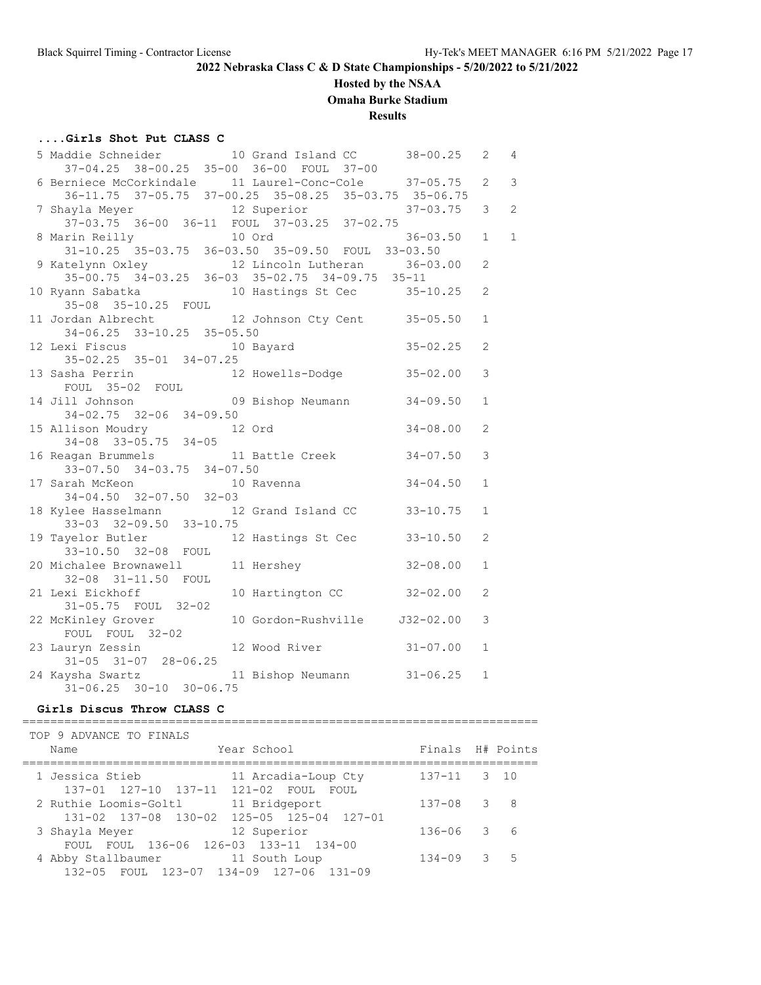## **Hosted by the NSAA**

**Omaha Burke Stadium**

## **Results**

#### **....Girls Shot Put CLASS C**

| 5 Maddie Schneider 10 Grand Island CC 38-00.25                                                   |              |              | $\mathbf{2}$   | 4              |
|--------------------------------------------------------------------------------------------------|--------------|--------------|----------------|----------------|
| 37-04.25 38-00.25 35-00 36-00 FOUL 37-00                                                         |              |              |                |                |
| 6 Berniece McCorkindale 11 Laurel-Conc-Cole 37-05.75                                             |              |              | $\overline{2}$ | $\mathbf{3}$   |
| 36-11.75 37-05.75 37-00.25 35-08.25 35-03.75 35-06.75                                            |              |              |                |                |
| 7 Shayla Meyer 12 Superior 37-03.75                                                              |              |              | 3 <sup>7</sup> | $\overline{c}$ |
| 37-03.75 36-00 36-11 FOUL 37-03.25 37-02.75                                                      |              |              |                |                |
| 8 Marin Reilly 10 Ord 36-03.<br>31-10.25 35-03.75 36-03.50 35-09.50 FOUL 33-03.50                |              | $36 - 03.50$ | $1 \quad$      | 1              |
|                                                                                                  |              |              |                |                |
| 9 Katelynn Oxley 12 Lincoln Lutheran 36-03.00<br>35-00.75 34-03.25 36-03 35-02.75 34-09.75 35-11 |              |              | $\overline{2}$ |                |
|                                                                                                  |              |              |                |                |
| 10 Ryann Sabatka                   10 Hastings St Cec         35-10.25                           |              |              | $\overline{2}$ |                |
| 35-08 35-10.25 FOUL                                                                              |              |              |                |                |
| 11 Jordan Albrecht 12 Johnson Cty Cent 35-05.50                                                  |              |              | $\mathbf{1}$   |                |
| 34-06.25 33-10.25 35-05.50                                                                       |              |              |                |                |
| $12$ Lexi Fiscus $10$ Bayard $35-02.25$                                                          |              |              | $\mathfrak{D}$ |                |
| $35-02.25$ $35-01$ $34-07.25$                                                                    |              |              |                |                |
| 13 Sasha Perrin 12 Howells-Dodge 35-02.00                                                        |              |              | 3              |                |
|                                                                                                  |              |              |                |                |
| FOUL 35-02 FOUL<br>14 Jill Johnson 09 Bishop Neumann 34-09.50                                    |              |              | $\mathbf{1}$   |                |
| $34 - 02.75$ $32 - 06$ $34 - 09.50$                                                              |              |              |                |                |
| 15 Allison Moudry 12 Ord                                                                         | $34 - 08.00$ |              | $\overline{2}$ |                |
| $34-08$ $33-05.75$ $34-05$                                                                       |              |              |                |                |
| 16 Reagan Brummels 11 Battle Creek 34-07.50<br>33-07.50 34-03.75 34-07.50                        |              |              | 3              |                |
|                                                                                                  |              |              |                |                |
|                                                                                                  |              |              | $\mathbf{1}$   |                |
| 17 Sarah McKeon 10 Ravenna 34-04.50<br>34-04.50 32-07.50 32-03                                   |              |              |                |                |
| 18 Kylee Hasselmann 12 Grand Island CC 33-10.75                                                  |              |              | $\mathbf{1}$   |                |
| 33-03 32-09.50 33-10.75                                                                          |              |              |                |                |
| 19 Tayelor Butler 12 Hastings St Cec 33-10.50                                                    |              |              | $\mathfrak{D}$ |                |
| 33-10.50 32-08 FOUL                                                                              |              |              |                |                |
| 20 Michalee Brownawell 11 Hershey 32-08.00                                                       |              |              | $\mathbf{1}$   |                |
| Charles Diverse .<br>32-08 31-11.50 FOUL<br>-i Fickhoff 10 Hartington CC 32-02.00                |              |              |                |                |
| 21 Lexi Eickhoff                                                                                 |              |              | $\overline{2}$ |                |
|                                                                                                  |              |              |                |                |
| 22 McKinley Grover 10 Gordon-Rushville 332-02.00                                                 |              |              | 3              |                |
| FOUL FOUL 32-02                                                                                  |              |              |                |                |
| 23 Lauryn Zessin 12 Wood River 31-07.00                                                          |              |              | $\mathbf{1}$   |                |
| $31-05$ $31-07$ $28-06.25$                                                                       |              |              |                |                |
| 24 Kaysha Swartz 11 Bishop Neumann 31-06.25                                                      |              |              | $\mathbf{1}$   |                |
| $31-06.25$ $30-10$ $30-06.75$                                                                    |              |              |                |                |

#### **Girls Discus Throw CLASS C**

========================================================================== TOP 9 ADVANCE TO FINALS Name  $Year School$  Finals  $H#$  Points ========================================================================== 1 Jessica Stieb 11 Arcadia-Loup Cty 137-11 3 10 137-01 127-10 137-11 121-02 FOUL FOUL 2 Ruthie Loomis-Goltl 11 Bridgeport 137-08 3 8 131-02 137-08 130-02 125-05 125-04 127-01 3 Shayla Meyer 12 Superior 136-06 3 6 FOUL FOUL 136-06 126-03 133-11 134-00 4 Abby Stallbaumer 11 South Loup 134-09 3 5 132-05 FOUL 123-07 134-09 127-06 131-09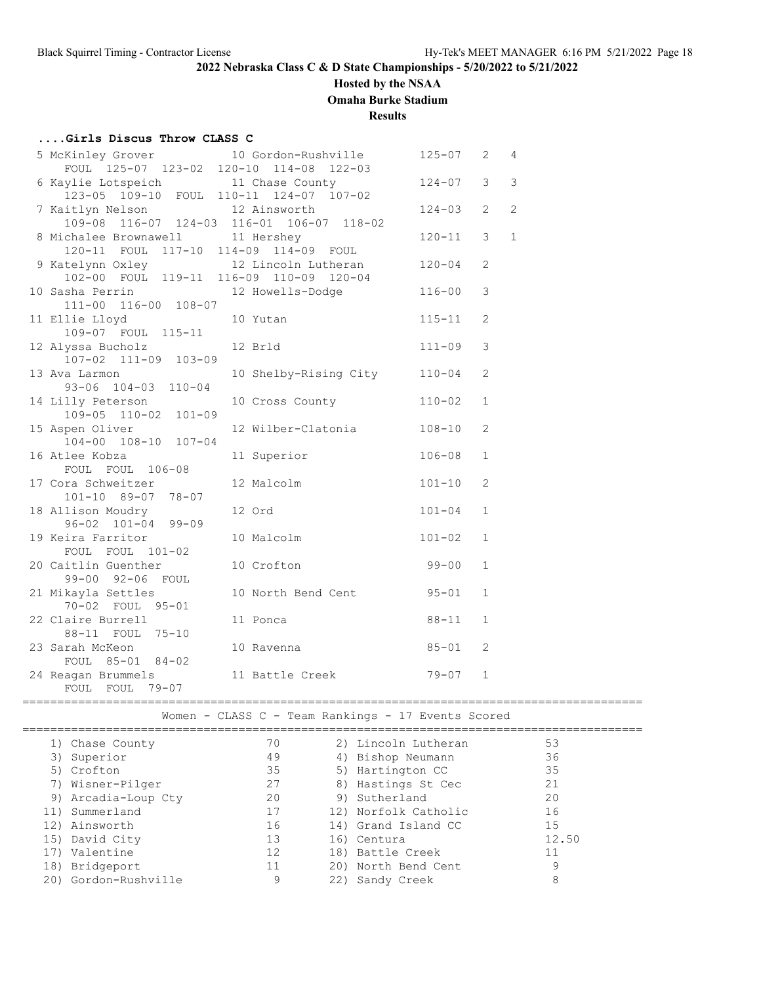## **Hosted by the NSAA**

**Omaha Burke Stadium**

## **Results**

## **....Girls Discus Throw CLASS C**

| 5 McKinley Grover 10 Gordon-Rushville<br>FOUL 125-07 123-02 120-10 114-08 122-03 |                              | $125 - 07$ 2 |                | 4              |
|----------------------------------------------------------------------------------|------------------------------|--------------|----------------|----------------|
| 6 Kaylie Lotspeich 11 Chase County                                               |                              | $124 - 07$   | 3              | $\mathsf 3$    |
| 123-05 109-10 FOUL 110-11 124-07 107-02                                          |                              |              |                |                |
| 7 Kaitlyn Nelson 12 Ainsworth                                                    |                              | $124 - 03$   | $\overline{2}$ | $\overline{2}$ |
| 109-08 116-07 124-03 116-01 106-07 118-02                                        |                              |              |                |                |
| 8 Michalee Brownawell 11 Hershey                                                 |                              | $120 - 11$   | 3              | $\mathbf{1}$   |
| 120-11 FOUL 117-10 114-09 114-09 FOUL                                            |                              |              |                |                |
| 9 Katelynn Oxley 12 Lincoln Lutheran<br>102-00 FOUL 119-11 116-09 110-09 120-04  |                              | $120 - 04$   | $\overline{2}$ |                |
|                                                                                  |                              |              |                |                |
| 10 Sasha Perrin<br>111-00 116-00 108-07                                          | 12 Howells-Dodge             | $116 - 00$   | $\mathfrak{Z}$ |                |
| 11 Ellie Lloyd                                                                   |                              | $115 - 11$   | 2              |                |
| 109-07 FOUL 115-11                                                               | 10 Yutan                     |              |                |                |
| 12 Alyssa Bucholz                                                                | 12 Brld                      | $111 - 09$   | 3              |                |
| 107-02 111-09 103-09                                                             |                              |              |                |                |
| 13 Ava Larmon                                                                    | 10 Shelby-Rising City 110-04 |              | $\mathbf{2}$   |                |
| 93-06 104-03 110-04                                                              |                              |              |                |                |
| 14 Lilly Peterson                                                                | 10 Cross County              | $110 - 02$   | $\mathbf{1}$   |                |
| 109-05 110-02 101-09                                                             |                              |              |                |                |
| 15 Aspen Oliver                                                                  | 12 Wilber-Clatonia           | $108 - 10$   | 2              |                |
| 104-00 108-10 107-04                                                             |                              |              |                |                |
| 16 Atlee Kobza                                                                   | 11 Superior                  | $106 - 08$   | 1              |                |
| FOUL FOUL 106-08                                                                 |                              |              |                |                |
| 17 Cora Schweitzer                                                               | 12 Malcolm                   | $101 - 10$   | $\mathbf{2}$   |                |
| 101-10 89-07 78-07                                                               |                              |              |                |                |
| 18 Allison Moudry<br>96-02 101-04 99-09                                          | 12 Ord                       | $101 - 04$   | $\mathbf{1}$   |                |
| 19 Keira Farritor                                                                | 10 Malcolm                   | $101 - 02$   | $\mathbf{1}$   |                |
| FOUL FOUL 101-02                                                                 |                              |              |                |                |
| 20 Caitlin Guenther                                                              | 10 Crofton                   | $99 - 00$    | $\mathbf{1}$   |                |
| 99-00 92-06 FOUL                                                                 |                              |              |                |                |
| 21 Mikayla Settles                                                               | 10 North Bend Cent           | $95 - 01$    | $\mathbf{1}$   |                |
| 70-02 FOUL 95-01                                                                 |                              |              |                |                |
| 22 Claire Burrell                                                                | 11 Ponca                     | $88 - 11$    | $\mathbf{1}$   |                |
| 88-11 FOUL 75-10                                                                 |                              |              |                |                |
| 23 Sarah McKeon                                                                  | 10 Ravenna                   | $85 - 01$    | 2              |                |
| FOUL 85-01 84-02                                                                 |                              |              |                |                |
| 24 Reagan Brummels                                                               | 11 Battle Creek              | 79-07        | $\mathbf{1}$   |                |
| FOUL FOUL<br>$79 - 07$                                                           |                              |              |                |                |

=========================================================================================

Women - CLASS C - Team Rankings - 17 Events Scored

| 1) Chase County      | 70 | 2) Lincoln Lutheran  | 53    |  |
|----------------------|----|----------------------|-------|--|
| 3) Superior          | 49 | 4) Bishop Neumann    | 36    |  |
| 5) Crofton           | 35 | 5) Hartington CC     | 35    |  |
| 7) Wisner-Pilger     | 27 | 8) Hastings St Cec   | 21    |  |
| 9) Arcadia-Loup Cty  | 20 | 9) Sutherland        | 20    |  |
| 11) Summerland       | 17 | 12) Norfolk Catholic | 16    |  |
| 12) Ainsworth        | 16 | 14) Grand Island CC  | 15    |  |
| 15) David City       | 13 | 16) Centura          | 12.50 |  |
| 17) Valentine        | 12 | 18) Battle Creek     | 11    |  |
| 18) Bridgeport       | 11 | 20) North Bend Cent  | 9     |  |
| 20) Gordon-Rushville | 9  | 22) Sandy Creek      | 8     |  |
|                      |    |                      |       |  |